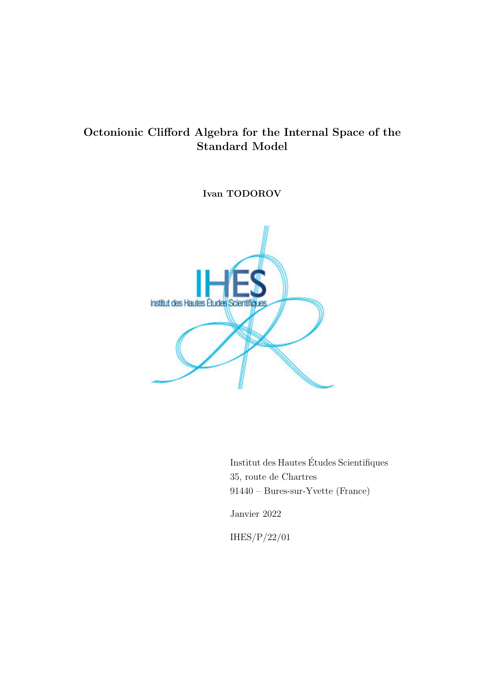# Octonionic Clifford Algebra for the Internal Space of the Standard Model

Ivan TODOROV



Institut des Hautes Etudes Scientifiques ´ 35, route de Chartres 91440 – Bures-sur-Yvette (France)

Janvier 2022

IHES/P/22/01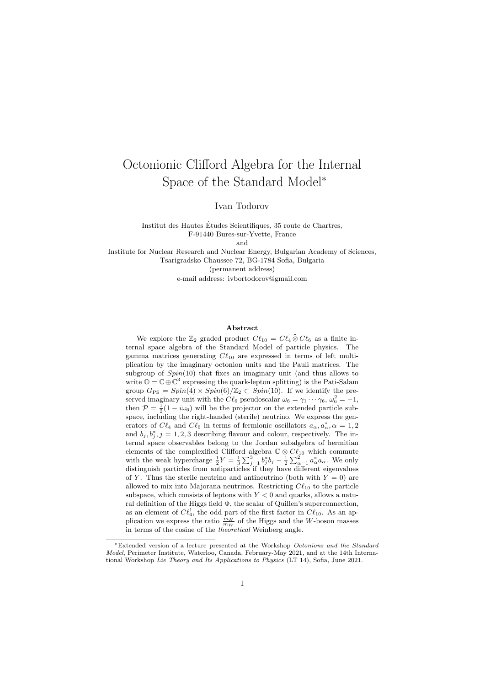# Octonionic Clifford Algebra for the Internal Space of the Standard Model<sup>∗</sup>

Ivan Todorov

Institut des Hautes Etudes Scientifiques, 35 route de Chartres, ´ F-91440 Bures-sur-Yvette, France and

Institute for Nuclear Research and Nuclear Energy, Bulgarian Academy of Sciences, Tsarigradsko Chaussee 72, BG-1784 Sofia, Bulgaria (permanent address) e-mail address: ivbortodorov@gmail.com

#### Abstract

We explore the  $\mathbb{Z}_2$  graded product  $C\ell_{10} = C\ell_4 \widehat{\otimes} C\ell_6$  as a finite internal space algebra of the Standard Model of particle physics. The gamma matrices generating  $C\ell_{10}$  are expressed in terms of left multiplication by the imaginary octonion units and the Pauli matrices. The subgroup of  $Spin(10)$  that fixes an imaginary unit (and thus allows to write  $\mathbb{O} = \mathbb{C} \oplus \mathbb{C}^3$  expressing the quark-lepton splitting) is the Pati-Salam group  $G_{PS} = Spin(4) \times Spin(6)/\mathbb{Z}_2 \subset Spin(10)$ . If we identify the preserved imaginary unit with the  $C\ell_6$  pseudoscalar  $\omega_6 = \gamma_1 \cdots \gamma_6, \omega_6^2 = -1$ , then  $P = \frac{1}{2}(1 - i\omega_6)$  will be the projector on the extended particle subspace, including the right-handed (sterile) neutrino. We express the generators of  $C\ell_4$  and  $C\ell_6$  in terms of fermionic oscillators  $a_\alpha, a^*_{\alpha}, \alpha = 1, 2$ and  $b_j, b_j^*, j = 1, 2, 3$  describing flavour and colour, respectively. The internal space observables belong to the Jordan subalgebra of hermitian elements of the complexified Clifford algebra  $\mathbb{C} \otimes C\ell_{10}$  which commute with the weak hypercharge  $\frac{1}{2}Y = \frac{1}{3}\sum_{j=1}^3 b_j^* b_j - \frac{1}{2}\sum_{\alpha=1}^2 a_{\alpha}^* a_{\alpha}$ . We only distinguish particles from antiparticles if they have different eigenvalues of Y. Thus the sterile neutrino and antineutrino (both with  $Y = 0$ ) are allowed to mix into Majorana neutrinos. Restricting  $Cl_{10}$  to the particle subspace, which consists of leptons with  $Y < 0$  and quarks, allows a natural definition of the Higgs field Φ, the scalar of Quillen's superconnection, as an element of  $C\ell_4^1$ , the odd part of the first factor in  $C\ell_{10}$ . As an application we express the ratio  $\frac{m_H}{m_W}$  of the Higgs and the W-boson masses in terms of the cosine of the theoretical Weinberg angle.

<sup>∗</sup>Extended version of a lecture presented at the Workshop Octonions and the Standard Model, Perimeter Institute, Waterloo, Canada, February-May 2021, and at the 14th International Workshop Lie Theory and Its Applications to Physics (LT 14), Sofia, June 2021.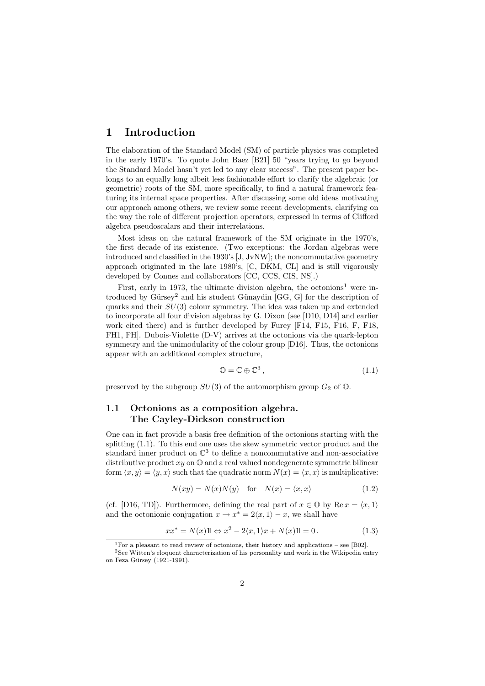## 1 Introduction

The elaboration of the Standard Model (SM) of particle physics was completed in the early 1970's. To quote John Baez [B21] 50 "years trying to go beyond the Standard Model hasn't yet led to any clear success". The present paper belongs to an equally long albeit less fashionable effort to clarify the algebraic (or geometric) roots of the SM, more specifically, to find a natural framework featuring its internal space properties. After discussing some old ideas motivating our approach among others, we review some recent developments, clarifying on the way the role of different projection operators, expressed in terms of Clifford algebra pseudoscalars and their interrelations.

Most ideas on the natural framework of the SM originate in the 1970's, the first decade of its existence. (Two exceptions: the Jordan algebras were introduced and classified in the 1930's [J, JvNW]; the noncommutative geometry approach originated in the late 1980's, [C, DKM, CL] and is still vigorously developed by Connes and collaborators [CC, CCS, CIS, NS].)

First, early in 1973, the ultimate division algebra, the octonions<sup>1</sup> were introduced by Gürsey<sup>2</sup> and his student Günaydin  $[GG, G]$  for the description of quarks and their SU(3) colour symmetry. The idea was taken up and extended to incorporate all four division algebras by G. Dixon (see [D10, D14] and earlier work cited there) and is further developed by Furey [F14, F15, F16, F, F18, FH1, FH]. Dubois-Violette (D-V) arrives at the octonions via the quark-lepton symmetry and the unimodularity of the colour group [D16]. Thus, the octonions appear with an additional complex structure,

$$
\mathbb{O} = \mathbb{C} \oplus \mathbb{C}^3, \tag{1.1}
$$

preserved by the subgroup  $SU(3)$  of the automorphism group  $G_2$  of  $\mathbb{O}$ .

### 1.1 Octonions as a composition algebra. The Cayley-Dickson construction

One can in fact provide a basis free definition of the octonions starting with the splitting (1.1). To this end one uses the skew symmetric vector product and the standard inner product on  $\mathbb{C}^3$  to define a noncommutative and non-associative distributive product  $xy$  on  $\mathbb{O}$  and a real valued nondegenerate symmetric bilinear form  $\langle x, y \rangle = \langle y, x \rangle$  such that the quadratic norm  $N(x) = \langle x, x \rangle$  is multiplicative:

$$
N(xy) = N(x)N(y) \quad \text{for} \quad N(x) = \langle x, x \rangle \tag{1.2}
$$

(cf. [D16, TD]). Furthermore, defining the real part of  $x \in \mathbb{O}$  by  $\text{Re } x = \langle x, 1 \rangle$ and the octonionic conjugation  $x \to x^* = 2\langle x, 1 \rangle - x$ , we shall have

$$
xx^* = N(x)\mathbb{I} \Leftrightarrow x^2 - 2\langle x, 1 \rangle x + N(x)\mathbb{I} = 0.
$$
 (1.3)

<sup>&</sup>lt;sup>1</sup>For a pleasant to read review of octonions, their history and applications – see [B02].

<sup>2</sup>See Witten's eloquent characterization of his personality and work in the Wikipedia entry on Feza Gürsey (1921-1991).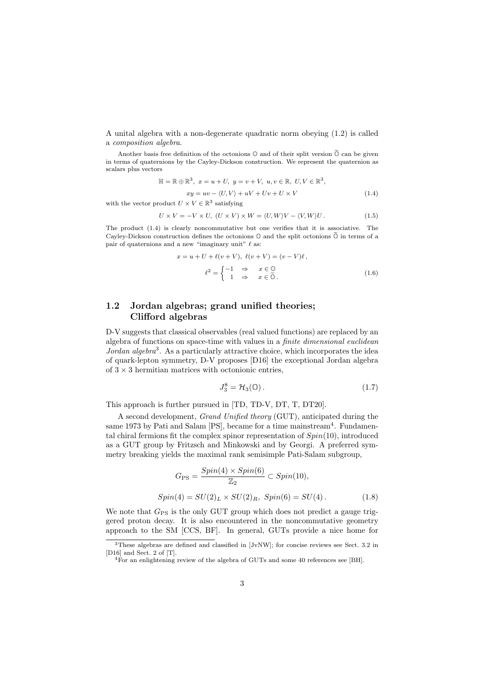A unital algebra with a non-degenerate quadratic norm obeying (1.2) is called a composition algebra.

Another basis free definition of the octonions  $\mathbb{O}$  and of their split version  $\widetilde{\mathbb{O}}$  can be given in terms of quaternions by the Cayley-Dickson construction. We represent the quaternion as scalars plus vectors

$$
\mathbb{H} = \mathbb{R} \oplus \mathbb{R}^3, \ x = u + U, \ y = v + V, \ u, v \in \mathbb{R}, \ U, V \in \mathbb{R}^3,
$$

$$
xy = uv - \langle U, V \rangle + uV + Uv + U \times V
$$
(1.4)

with the vector product  $U \times V \in \mathbb{R}^3$  satisfying

$$
U \times V = -V \times U, \ (U \times V) \times W = \langle U, W \rangle V - \langle V, W \rangle U. \tag{1.5}
$$

The product (1.4) is clearly noncommutative but one verifies that it is associative. The Cayley-Dickson construction defines the octonions  $\mathbb O$  and the split octonions  $\widetilde{\mathbb O}$  in terms of a pair of quaternions and a new "imaginary unit"  $\ell$  as:

$$
x = u + U + \ell(v + V), \ \ell(v + V) = (v - V)\ell,
$$

$$
\ell^2 = \begin{cases} -1 & \Rightarrow & x \in \mathbb{O} \\ 1 & \Rightarrow & x \in \mathbb{O}. \end{cases}
$$
(1.6)

### 1.2 Jordan algebras; grand unified theories; Clifford algebras

D-V suggests that classical observables (real valued functions) are replaced by an algebra of functions on space-time with values in a finite dimensional euclidean Jordan algebra<sup>3</sup>. As a particularly attractive choice, which incorporates the idea of quark-lepton symmetry, D-V proposes [D16] the exceptional Jordan algebra of  $3 \times 3$  hermitian matrices with octonionic entries,

$$
J_3^8 = \mathcal{H}_3(\mathbb{O}). \tag{1.7}
$$

This approach is further pursued in [TD, TD-V, DT, T, DT20].

A second development, Grand Unified theory (GUT), anticipated during the same 1973 by Pati and Salam  $[PS]$ , became for a time mainstream<sup>4</sup>. Fundamental chiral fermions fit the complex spinor representation of  $Spin(10)$ , introduced as a GUT group by Fritzsch and Minkowski and by Georgi. A preferred symmetry breaking yields the maximal rank semisimple Pati-Salam subgroup,

$$
G_{\rm PS} = \frac{Spin(4) \times Spin(6)}{\mathbb{Z}_2} \subset Spin(10),
$$
  
\n
$$
Spin(4) = SU(2)_L \times SU(2)_R, Spin(6) = SU(4).
$$
 (1.8)

We note that  $G_{PS}$  is the only GUT group which does not predict a gauge triggered proton decay. It is also encountered in the noncommutative geometry approach to the SM [CCS, BF]. In general, GUTs provide a nice home for

<sup>3</sup>These algebras are defined and classified in [JvNW]; for concise reviews see Sect. 3.2 in [D16] and Sect. 2 of [T].

<sup>&</sup>lt;sup>4</sup>For an enlightening review of the algebra of GUTs and some 40 references see [BH].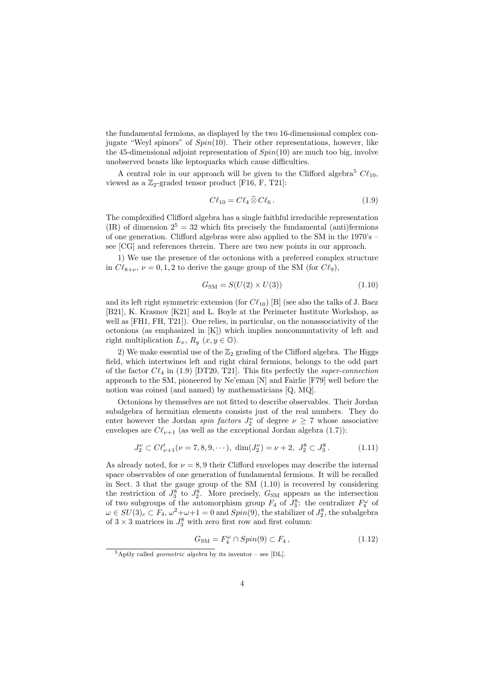the fundamental fermions, as displayed by the two 16-dimensional complex conjugate "Weyl spinors" of  $Spin(10)$ . Their other representations, however, like the 45-dimensional adjoint representation of  $Spin(10)$  are much too big, involve unobserved beasts like leptoquarks which cause difficulties.

A central role in our approach will be given to the Clifford algebra<sup>5</sup>  $C\ell_{10}$ , viewed as a  $\mathbb{Z}_2$ -graded tensor product [F16, F, T21]:

$$
C\ell_{10} = C\ell_4 \widehat{\otimes} C\ell_6. \tag{1.9}
$$

The complexified Clifford algebra has a single faithful irreducible representation (IR) of dimension  $2^5 = 32$  which fits precisely the fundamental (anti)fermions of one generation. Clifford algebras were also applied to the SM in the 1970's – see [CG] and references therein. There are two new points in our approach.

1) We use the presence of the octonions with a preferred complex structure in  $C\ell_{8+\nu}, \nu = 0, 1, 2$  to derive the gauge group of the SM (for  $C\ell_9$ ),

$$
G_{\rm SM} = S(U(2) \times U(3))\tag{1.10}
$$

and its left right symmetric extension (for  $C\ell_{10}$ ) [B] (see also the talks of J. Baez [B21], K. Krasnov [K21] and L. Boyle at the Perimeter Institute Workshop, as well as [FH1, FH, T21]). One relies, in particular, on the nonassociativity of the octonions (as emphasized in [K]) which implies noncommutativity of left and right multiplication  $L_x$ ,  $R_y$   $(x, y \in \mathbb{O})$ .

2) We make essential use of the  $\mathbb{Z}_2$  grading of the Clifford algebra. The Higgs field, which intertwines left and right chiral fermions, belongs to the odd part of the factor  $C\ell_4$  in (1.9) [DT20, T21]. This fits perfectly the super-connection approach to the SM, pioneered by Ne'eman [N] and Fairlie [F79] well before the notion was coined (and named) by mathematicians [Q, MQ].

Octonions by themselves are not fitted to describe observables. Their Jordan subalgebra of hermitian elements consists just of the real numbers. They do enter however the Jordan *spin factors*  $J_2^{\nu}$  of degree  $\nu \geq 7$  whose associative envelopes are  $C\ell_{\nu+1}$  (as well as the exceptional Jordan algebra (1.7)):

$$
J_2^{\nu} \subset C\ell_{\nu+1}'(\nu=7,8,9,\cdots), \dim(J_2^{\nu}) = \nu+2, J_2^8 \subset J_3^8. \tag{1.11}
$$

As already noted, for  $\nu = 8, 9$  their Clifford envelopes may describe the internal space observables of one generation of fundamental fermions. It will be recalled in Sect. 3 that the gauge group of the SM (1.10) is recovered by considering the restriction of  $J_3^8$  to  $J_2^8$ . More precisely,  $G_{\text{SM}}$  appears as the intersection of two subgroups of the automorphism group  $F_4$  of  $J_3^8$ : the centralizer  $F_4^{\omega}$  of  $\omega \in SU(3)_c \subset F_4$ ,  $\omega^2 + \omega + 1 = 0$  and  $Spin(9)$ , the stabilizer of  $J_2^8$ , the subalgebra of  $3 \times 3$  matrices in  $J_3^8$  with zero first row and first column:

$$
G_{\rm SM} = F_4^{\omega} \cap Spin(9) \subset F_4 , \qquad (1.12)
$$

 $5$ Aptly called *geometric algebra* by its inventor – see [DL].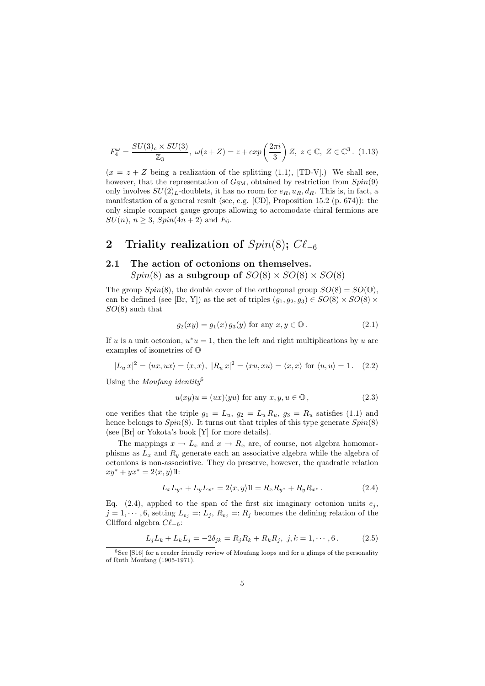$$
F_4^{\omega} = \frac{SU(3)_c \times SU(3)}{\mathbb{Z}_3}, \ \omega(z+Z) = z + exp\left(\frac{2\pi i}{3}\right)Z, \ z \in \mathbb{C}, \ Z \in \mathbb{C}^3. \tag{1.13}
$$

 $(x = z + Z)$  being a realization of the splitting (1.1), [TD-V].) We shall see, however, that the representation of  $G_{SM}$ , obtained by restriction from  $Spin(9)$ only involves  $SU(2)_L$ -doublets, it has no room for  $e_R$ ,  $u_R$ ,  $d_R$ . This is, in fact, a manifestation of a general result (see, e.g. [CD], Proposition 15.2 (p. 674)): the only simple compact gauge groups allowing to accomodate chiral fermions are  $SU(n)$ ,  $n \ge 3$ ,  $Spin(4n + 2)$  and  $E_6$ .

# 2 Triality realization of  $Spin(8)$ ;  $Cl_{-6}$

### 2.1 The action of octonions on themselves.  $Spin(8)$  as a subgroup of  $SO(8) \times SO(8) \times SO(8)$

The group  $Spin(8)$ , the double cover of the orthogonal group  $SO(8) = SO(0)$ , can be defined (see [Br, Y]) as the set of triples  $(g_1, g_2, g_3) \in SO(8) \times SO(8) \times$  $SO(8)$  such that

$$
g_2(xy) = g_1(x) g_3(y) \text{ for any } x, y \in \mathbb{O}. \tag{2.1}
$$

If u is a unit octonion,  $u^*u = 1$ , then the left and right multiplications by u are examples of isometries of O

$$
|L_u x|^2 = \langle ux, ux \rangle = \langle x, x \rangle, \ |R_u x|^2 = \langle xu, xu \rangle = \langle x, x \rangle \text{ for } \langle u, u \rangle = 1. \quad (2.2)
$$

Using the *Moufang identity*<sup>6</sup>

$$
u(xy)u = (ux)(yu) \text{ for any } x, y, u \in \mathbb{O}, \qquad (2.3)
$$

one verifies that the triple  $g_1 = L_u$ ,  $g_2 = L_u R_u$ ,  $g_3 = R_u$  satisfies (1.1) and hence belongs to  $Spin(8)$ . It turns out that triples of this type generate  $Spin(8)$ (see [Br] or Yokota's book [Y] for more details).

The mappings  $x \to L_x$  and  $x \to R_x$  are, of course, not algebra homomorphisms as  $L_x$  and  $R_y$  generate each an associative algebra while the algebra of octonions is non-associative. They do preserve, however, the quadratic relation  $xy^* + yx^* = 2\langle x, y \rangle \mathbb{I}:$ 

$$
L_x L_{y^*} + L_y L_{x^*} = 2\langle x, y \rangle \mathbb{I} = R_x R_{y^*} + R_y R_{x^*} . \tag{2.4}
$$

Eq. (2.4), applied to the span of the first six imaginary octonion units  $e_j$ ,  $j = 1, \dots, 6$ , setting  $L_{e_j} =: L_j, R_{e_j} =: R_j$  becomes the defining relation of the Clifford algebra  $C\ell_{-6}$ :

$$
L_j L_k + L_k L_j = -2\delta_{jk} = R_j R_k + R_k R_j, \ j, k = 1, \cdots, 6.
$$
 (2.5)

 $6$ See [S16] for a reader friendly review of Moufang loops and for a glimps of the personality of Ruth Moufang (1905-1971).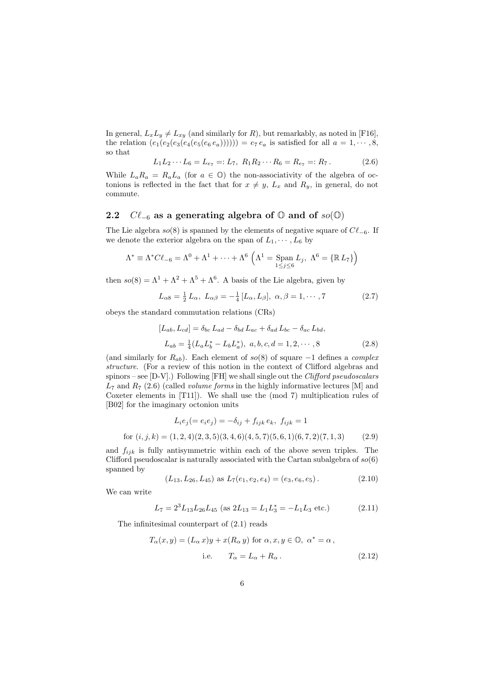In general,  $L_xL_y \neq L_{xy}$  (and similarly for R), but remarkably, as noted in [F16], the relation  $(e_1(e_2(e_3(e_4(e_5(e_6 e_a)))))) = e_7 e_a$  is satisfied for all  $a = 1, \dots, 8$ , so that

$$
L_1 L_2 \cdots L_6 = L_{e_7} =: L_7, \ R_1 R_2 \cdots R_6 = R_{e_7} =: R_7. \tag{2.6}
$$

While  $L_a R_a = R_a L_a$  (for  $a \in \mathbb{O}$ ) the non-associativity of the algebra of octonions is reflected in the fact that for  $x \neq y$ ,  $L_x$  and  $R_y$ , in general, do not commute.

#### 2.2  $C\ell_{-6}$  as a generating algebra of  $\mathbb O$  and of  $so(\mathbb O)$

The Lie algebra  $so(8)$  is spanned by the elements of negative square of  $C\ell_{-6}$ . If we denote the exterior algebra on the span of  $L_1, \dots, L_6$  by

$$
\Lambda^* \equiv \Lambda^* C \ell_{-6} = \Lambda^0 + \Lambda^1 + \dots + \Lambda^6 \left( \Lambda^1 = \text{Span}_{1 \leq j \leq 6} L_j, \ \Lambda^6 = \{ \mathbb{R} L_7 \} \right)
$$

then  $so(8) = \Lambda^1 + \Lambda^2 + \Lambda^5 + \Lambda^6$ . A basis of the Lie algebra, given by

$$
L_{\alpha 8} = \frac{1}{2} L_{\alpha}, \ L_{\alpha \beta} = -\frac{1}{4} [L_{\alpha}, L_{\beta}], \ \alpha, \beta = 1, \cdots, 7
$$
 (2.7)

obeys the standard commutation relations (CRs)

$$
[L_{ab}, L_{cd}] = \delta_{bc} L_{ad} - \delta_{bd} L_{ac} + \delta_{ad} L_{bc} - \delta_{ac} L_{bd},
$$
  

$$
L_{ab} = \frac{1}{4} (L_a L_b^* - L_b L_a^*), \ a, b, c, d = 1, 2, \cdots, 8
$$
 (2.8)

(and similarly for  $R_{ab}$ ). Each element of so(8) of square -1 defines a complex structure. (For a review of this notion in the context of Clifford algebras and spinors – see  $[D-V]$ .) Following  $[FH]$  we shall single out the *Clifford pseudoscalars*  $L_7$  and  $R_7$  (2.6) (called *volume forms* in the highly informative lectures [M] and Coxeter elements in [T11]). We shall use the (mod 7) multiplication rules of [B02] for the imaginary octonion units

$$
L_i e_j (= e_i e_j) = -\delta_{ij} + f_{ijk} e_k, \ f_{ijk} = 1
$$
  
for  $(i, j, k) = (1, 2, 4)(2, 3, 5)(3, 4, 6)(4, 5, 7)(5, 6, 1)(6, 7, 2)(7, 1, 3)$  (2.9)

and  $f_{ijk}$  is fully antisymmetric within each of the above seven triples. The Clifford pseudoscalar is naturally associated with the Cartan subalgebra of  $so(6)$ spanned by

$$
(L_{13}, L_{26}, L_{45}) \text{ as } L_7(e_1, e_2, e_4) = (e_3, e_6, e_5). \tag{2.10}
$$

We can write

$$
L_7 = 2^3 L_{13} L_{26} L_{45} \text{ (as } 2L_{13} = L_1 L_3^* = -L_1 L_3 \text{ etc.)}
$$
 (2.11)

The infinitesimal counterpart of (2.1) reads

$$
T_{\alpha}(x, y) = (L_{\alpha} x)y + x(R_{\alpha} y) \text{ for } \alpha, x, y \in \mathbb{O}, \ \alpha^* = \alpha,
$$
  
i.e. 
$$
T_{\alpha} = L_{\alpha} + R_{\alpha}.
$$
 (2.12)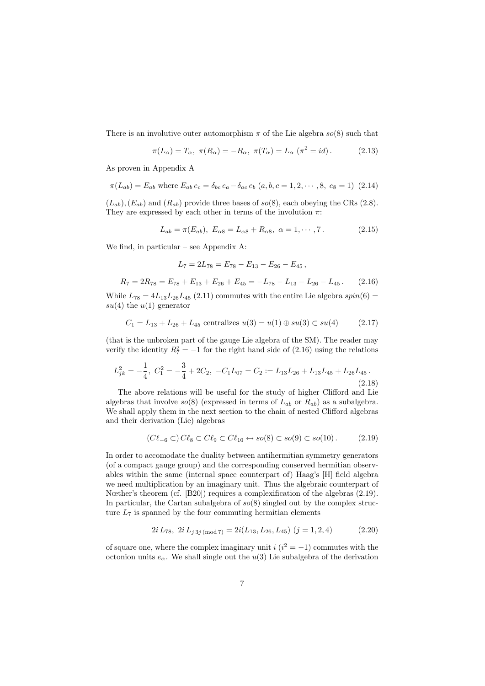There is an involutive outer automorphism  $\pi$  of the Lie algebra  $so(8)$  such that

$$
\pi(L_{\alpha}) = T_{\alpha}, \ \pi(R_{\alpha}) = -R_{\alpha}, \ \pi(T_{\alpha}) = L_{\alpha} \ (\pi^2 = id). \tag{2.13}
$$

As proven in Appendix A

$$
\pi(L_{ab}) = E_{ab} \text{ where } E_{ab} e_c = \delta_{bc} e_a - \delta_{ac} e_b \ (a, b, c = 1, 2, \cdots, 8, e_8 = 1) \ (2.14)
$$

 $(L_{ab})$ ,  $(E_{ab})$  and  $(R_{ab})$  provide three bases of so(8), each obeying the CRs (2.8). They are expressed by each other in terms of the involution  $\pi$ :

$$
L_{ab} = \pi(E_{ab}), \ E_{\alpha 8} = L_{\alpha 8} + R_{\alpha 8}, \ \alpha = 1, \cdots, 7. \tag{2.15}
$$

We find, in particular – see Appendix A:

$$
L_7 = 2L_{78} = E_{78} - E_{13} - E_{26} - E_{45} ,
$$

$$
R_7 = 2R_{78} = E_{78} + E_{13} + E_{26} + E_{45} = -L_{78} - L_{13} - L_{26} - L_{45}.
$$
 (2.16)

While  $L_{78} = 4L_{13}L_{26}L_{45}$  (2.11) commutes with the entire Lie algebra  $spin(6)$  $su(4)$  the  $u(1)$  generator

$$
C_1 = L_{13} + L_{26} + L_{45} \text{ centralizes } u(3) = u(1) \oplus su(3) \subset su(4) \tag{2.17}
$$

(that is the unbroken part of the gauge Lie algebra of the SM). The reader may verify the identity  $R_7^2 = -1$  for the right hand side of (2.16) using the relations

$$
L_{jk}^2 = -\frac{1}{4}, \ C_1^2 = -\frac{3}{4} + 2C_2, \ -C_1L_{07} = C_2 := L_{13}L_{26} + L_{13}L_{45} + L_{26}L_{45} \,. \tag{2.18}
$$

The above relations will be useful for the study of higher Clifford and Lie algebras that involve  $so(8)$  (expressed in terms of  $L_{ab}$  or  $R_{ab}$ ) as a subalgebra. We shall apply them in the next section to the chain of nested Clifford algebras and their derivation (Lie) algebras

$$
(C\ell_{-6} \subset) C\ell_8 \subset C\ell_9 \subset C\ell_{10} \leftrightarrow so(8) \subset so(9) \subset so(10).
$$
 (2.19)

In order to accomodate the duality between antihermitian symmetry generators (of a compact gauge group) and the corresponding conserved hermitian observables within the same (internal space counterpart of) Haag's [H] field algebra we need multiplication by an imaginary unit. Thus the algebraic counterpart of Nœther's theorem (cf. [B20]) requires a complexification of the algebras  $(2.19)$ . In particular, the Cartan subalgebra of  $so(8)$  singled out by the complex structure  $L_7$  is spanned by the four commuting hermitian elements

$$
2i L_{78}, \ 2i L_{j \, 3j \, (\text{mod } 7)} = 2i(L_{13}, L_{26}, L_{45}) \ (j = 1, 2, 4)
$$
 (2.20)

of square one, where the complex imaginary unit  $i(i^2 = -1)$  commutes with the octonion units  $e_{\alpha}$ . We shall single out the  $u(3)$  Lie subalgebra of the derivation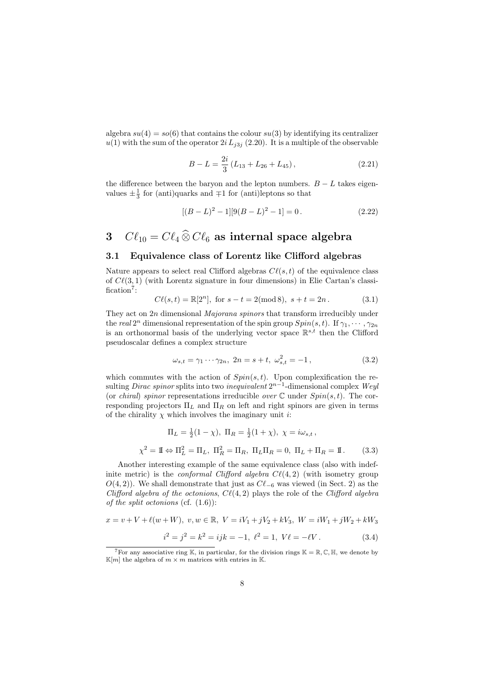algebra  $su(4) = so(6)$  that contains the colour  $su(3)$  by identifying its centralizer  $u(1)$  with the sum of the operator  $2i L_{i3j}$  (2.20). It is a multiple of the observable

$$
B - L = \frac{2i}{3} \left( L_{13} + L_{26} + L_{45} \right), \tag{2.21}
$$

the difference between the baryon and the lepton numbers.  $B - L$  takes eigenvalues  $\pm \frac{1}{3}$  for (anti)quarks and  $\mp 1$  for (anti)leptons so that

$$
[(B - L)^{2} - 1][9(B - L)^{2} - 1] = 0.
$$
\n(2.22)

# 3  $C\ell_{10} = C\ell_4 \widehat{\otimes} C\ell_6$  as internal space algebra

#### 3.1 Equivalence class of Lorentz like Clifford algebras

Nature appears to select real Clifford algebras  $C\ell(s, t)$  of the equivalence class of  $C\ell(3,1)$  (with Lorentz signature in four dimensions) in Elie Cartan's classification<sup>7</sup>:

$$
C\ell(s,t) = \mathbb{R}[2^n], \text{ for } s - t = 2 \text{(mod 8)}, \ s + t = 2n. \tag{3.1}
$$

They act on 2n dimensional *Majorana spinors* that transform irreducibly under the real  $2^n$  dimensional representation of the spin group  $Spin(s, t)$ . If  $\gamma_1, \cdots, \gamma_{2n}$ is an orthonormal basis of the underlying vector space  $\mathbb{R}^{s,t}$  then the Clifford pseudoscalar defines a complex structure

$$
\omega_{s,t} = \gamma_1 \cdots \gamma_{2n}, \ 2n = s + t, \ \omega_{s,t}^2 = -1, \tag{3.2}
$$

which commutes with the action of  $Spin(s,t)$ . Upon complexification the resulting *Dirac spinor* splits into two *inequivalent*  $2^{n-1}$ -dimensional complex Weyl (or *chiral*) spinor representations irreducible *over*  $\mathbb C$  under  $Spin(s, t)$ . The corresponding projectors  $\Pi_L$  and  $\Pi_R$  on left and right spinors are given in terms of the chirality  $\chi$  which involves the imaginary unit *i*:

$$
\Pi_L = \frac{1}{2}(1 - \chi), \ \Pi_R = \frac{1}{2}(1 + \chi), \ \chi = i\omega_{s,t},
$$
\n
$$
\chi^2 = \mathbb{I} \Leftrightarrow \Pi_L^2 = \Pi_L, \ \Pi_R^2 = \Pi_R, \ \Pi_L \Pi_R = 0, \ \Pi_L + \Pi_R = \mathbb{I} \,. \tag{3.3}
$$

Another interesting example of the same equivalence class (also with indefinite metric) is the *conformal Clifford algebra C* $\ell(4, 2)$  (with isometry group  $O(4, 2)$ ). We shall demonstrate that just as  $C\ell_{-6}$  was viewed (in Sect. 2) as the Clifford algebra of the octonions,  $C\ell(4, 2)$  plays the role of the Clifford algebra of the split octonions (cf.  $(1.6)$ ):

$$
x = v + V + \ell(w + W), \ v, w \in \mathbb{R}, \ V = iV_1 + jV_2 + kV_3, \ W = iW_1 + jW_2 + kW_3
$$

$$
i^2 = j^2 = k^2 = ijk = -1, \ \ell^2 = 1, \ V\ell = -\ell V. \tag{3.4}
$$

<sup>&</sup>lt;sup>7</sup>For any associative ring K, in particular, for the division rings  $K = \mathbb{R}, \mathbb{C}, \mathbb{H}$ , we denote by  $\mathbb{K}[m]$  the algebra of  $m \times m$  matrices with entries in K.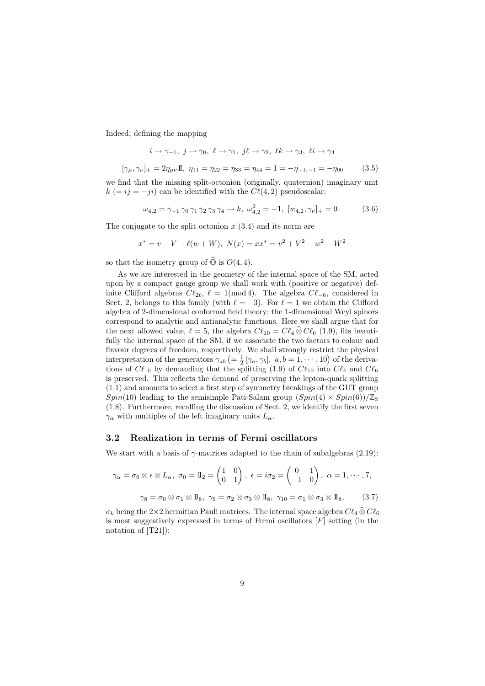Indeed, defining the mapping

$$
i \to \gamma_{-1}, \ j \to \gamma_0, \ \ell \to \gamma_1, \ j\ell \to \gamma_2, \ \ell k \to \gamma_3, \ \ell i \to \gamma_4
$$

$$
[\gamma_{\mu}, \gamma_{\nu}]_+ = 2\eta_{\mu\nu} \mathbb{I}, \ \eta_{11} = \eta_{22} = \eta_{33} = \eta_{44} = 1 = -\eta_{-1, -1} = -\eta_{00} \tag{3.5}
$$

we find that the missing split-octonion (originally, quaternion) imaginary unit  $k (= ij = -ji)$  can be identified with the  $C\ell(4, 2)$  pseudoscalar:

$$
\omega_{4,2} = \gamma_{-1} \gamma_0 \gamma_1 \gamma_2 \gamma_3 \gamma_4 \rightarrow k, \ \omega_{4,2}^2 = -1, \ [w_{4,2}, \gamma_{\nu}]_+ = 0. \tag{3.6}
$$

The conjugate to the split octonion  $x(3.4)$  and its norm are

$$
x^* = v - V - \ell(w + W), N(x) = xx^* = v^2 + V^2 - w^2 - W^2
$$

so that the isometry group of  $\widetilde{\mathbb{O}}$  is  $O(4, 4)$ .

As we are interested in the geometry of the internal space of the SM, acted upon by a compact gauge group we shall work with (positive or negative) definite Clifford algebras  $C\ell_{2\ell}$ ,  $\ell = 1 \pmod{4}$ . The algebra  $C\ell_{-6}$ , considered in Sect. 2, belongs to this family (with  $\ell = -3$ ). For  $\ell = 1$  we obtain the Clifford algebra of 2-dimensional conformal field theory; the 1-dimensional Weyl spinors correspond to analytic and antianalytic functions. Here we shall argue that for the next allowed value,  $\ell = 5$ , the algebra  $C\ell_{10} = C\ell_4 \widehat{\otimes} C\ell_6$  (1.9), fits beautifully the internal space of the SM, if we associate the two factors to colour and flavour degrees of freedom, respectively. We shall strongly restrict the physical interpretation of the generators  $\gamma_{ab}$   $(=\frac{1}{2} [\gamma_a, \gamma_b], a, b = 1, \cdots, 10)$  of the derivations of  $C\ell_{10}$  by demanding that the splitting (1.9) of  $C\ell_{10}$  into  $C\ell_4$  and  $C\ell_6$ is preserved. This reflects the demand of preserving the lepton-quark splitting (1.1) and amounts to select a first step of symmetry breakings of the GUT group  $Spin(10)$  leading to the semisimple Pati-Salam group  $(Spin(4) \times Spin(6))/\mathbb{Z}_2$ (1.8). Furthermore, recalling the discussion of Sect. 2, we identify the first seven  $\gamma_{\alpha}$  with multiples of the left imaginary units  $L_{\alpha}$ .

#### 3.2 Realization in terms of Fermi oscillators

We start with a basis of  $\gamma$ -matrices adapted to the chain of subalgebras (2.19):

$$
\gamma_{\alpha} = \sigma_0 \otimes \epsilon \otimes L_{\alpha}, \ \sigma_0 = \mathbb{I}_2 = \begin{pmatrix} 1 & 0 \\ 0 & 1 \end{pmatrix}, \ \epsilon = i\sigma_2 = \begin{pmatrix} 0 & 1 \\ -1 & 0 \end{pmatrix}, \ \alpha = 1, \cdots, 7,
$$

$$
\gamma_8 = \sigma_0 \otimes \sigma_1 \otimes \mathbb{I}_8, \ \gamma_9 = \sigma_2 \otimes \sigma_3 \otimes \mathbb{I}_8, \ \gamma_{10} = \sigma_1 \otimes \sigma_3 \otimes \mathbb{I}_8, \tag{3.7}
$$

 $\sigma_k$  being the 2×2 hermitian Pauli matrices. The internal space algebra  $C\ell_4 \widehat{\otimes} C\ell_6$ is most suggestively expressed in terms of Fermi oscillators  $[F]$  setting (in the notation of [T21]):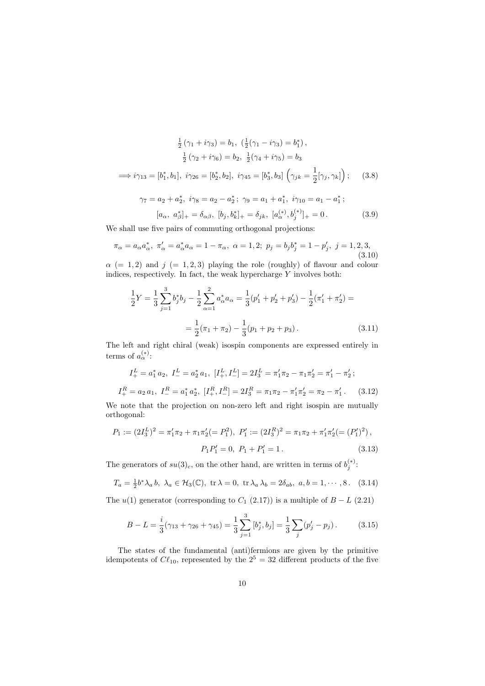$$
\frac{1}{2}(\gamma_1 + i\gamma_3) = b_1, \ (\frac{1}{2}(\gamma_1 - i\gamma_3) = b_1^*),
$$
  

$$
\frac{1}{2}(\gamma_2 + i\gamma_6) = b_2, \ \frac{1}{2}(\gamma_4 + i\gamma_5) = b_3
$$
  

$$
\implies i\gamma_{13} = [b_1^*, b_1], \ i\gamma_{26} = [b_2^*, b_2], \ i\gamma_{45} = [b_3^*, b_3] \left(\gamma_{jk} = \frac{1}{2}[\gamma_j, \gamma_k]\right); \ (3.8)
$$
  

$$
\gamma_7 = a_2 + a_2^*, \ i\gamma_8 = a_2 - a_2^*; \ \gamma_9 = a_1 + a_1^*, \ i\gamma_{10} = a_1 - a_1^*;
$$

$$
[a_{\alpha}, \ a_{\beta}^*]_+ = \delta_{\alpha\beta}, \ [b_j, b_k^*]_+ = \delta_{jk}, \ [a_{\alpha}^{(*)}, b_j^{(*)}]_+ = 0. \tag{3.9}
$$

We shall use five pairs of commuting orthogonal projections:

$$
\pi_{\alpha} = a_{\alpha} a_{\alpha}^*, \ \pi_{\alpha}' = a_{\alpha}^* a_{\alpha} = 1 - \pi_{\alpha}, \ \alpha = 1, 2; \ p_j = b_j b_j^* = 1 - p_j', \ j = 1, 2, 3,
$$
\n(3.10)

 $\alpha$  (= 1, 2) and j (= 1, 2, 3) playing the role (roughly) of flavour and colour indices, respectively. In fact, the weak hypercharge  $Y$  involves both:

$$
\frac{1}{2}Y = \frac{1}{3}\sum_{j=1}^{3} b_j^* b_j - \frac{1}{2}\sum_{\alpha=1}^{2} a_{\alpha}^* a_{\alpha} = \frac{1}{3}(p_1' + p_2' + p_3') - \frac{1}{2}(\pi_1' + \pi_2') =
$$

$$
= \frac{1}{2}(\pi_1 + \pi_2) - \frac{1}{3}(p_1 + p_2 + p_3).
$$
(3.11)

The left and right chiral (weak) isospin components are expressed entirely in terms of  $a_{\alpha}^{(*)}$ :

$$
I_{+}^{L} = a_{1}^{*} a_{2}, \ I_{-}^{L} = a_{2}^{*} a_{1}, \ [I_{+}^{L}, I_{-}^{L}] = 2I_{3}^{L} = \pi_{1}' \pi_{2} - \pi_{1} \pi_{2}' = \pi_{1}' - \pi_{2}';
$$
  

$$
I_{+}^{R} = a_{2} a_{1}, \ I_{-}^{R} = a_{1}^{*} a_{2}^{*}, \ [I_{+}^{R}, I_{-}^{R}] = 2I_{3}^{R} = \pi_{1} \pi_{2} - \pi_{1}' \pi_{2}' = \pi_{2} - \pi_{1}'.
$$
 (3.12)

We note that the projection on non-zero left and right isospin are mutually orthogonal:

$$
P_1 := (2I_3^L)^2 = \pi'_1 \pi_2 + \pi_1 \pi'_2 (= P_1^2), \ P'_1 := (2I_3^R)^2 = \pi_1 \pi_2 + \pi'_1 \pi'_2 (= (P'_1)^2),
$$

$$
P_1 P'_1 = 0, \ P_1 + P'_1 = 1.
$$
 (3.13)

The generators of  $su(3)_c$ , on the other hand, are written in terms of  $b_j^{(*)}$ :

$$
T_a = \frac{1}{2}b^*\lambda_a b, \ \lambda_a \in \mathcal{H}_3(\mathbb{C}), \ \text{tr}\,\lambda = 0, \ \text{tr}\,\lambda_a \,\lambda_b = 2\delta_{ab}, \ a, b = 1, \cdots, 8. \tag{3.14}
$$

The  $u(1)$  generator (corresponding to  $C_1$  (2.17)) is a multiple of  $B - L$  (2.21)

$$
B - L = \frac{i}{3}(\gamma_{13} + \gamma_{26} + \gamma_{45}) = \frac{1}{3}\sum_{j=1}^{3} [b_j^*, b_j] = \frac{1}{3}\sum_j (p_j' - p_j). \tag{3.15}
$$

The states of the fundamental (anti)fermions are given by the primitive idempotents of  $C\ell_{10}$ , represented by the  $2^5 = 32$  different products of the five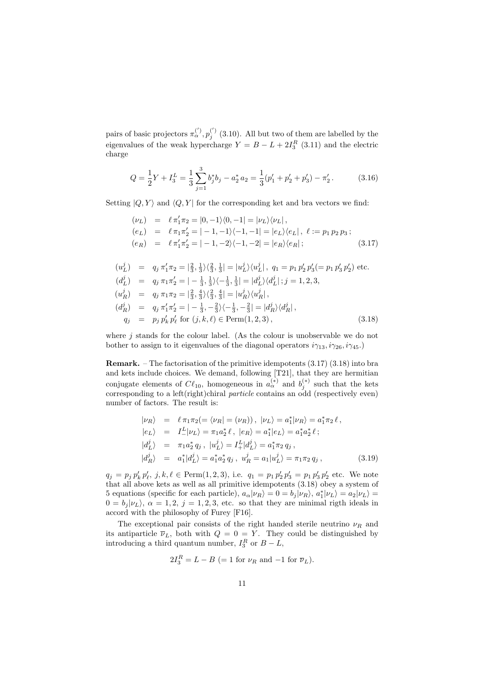pairs of basic projectors  $\pi_\alpha^{(')}, p_j^{(')}$  (3.10). All but two of them are labelled by the eigenvalues of the weak hypercharge  $Y = B - L + 2I_3^R$  (3.11) and the electric charge

$$
Q = \frac{1}{2}Y + I_3^L = \frac{1}{3}\sum_{j=1}^3 b_j^* b_j - a_2^* a_2 = \frac{1}{3}(p_1' + p_2' + p_3') - \pi_2'.
$$
 (3.16)

Setting  $|Q, Y\rangle$  and  $\langle Q, Y |$  for the corresponding ket and bra vectors we find:

$$
(\nu_L) = \ell \pi'_1 \pi_2 = |0, -1\rangle\langle 0, -1| = |\nu_L\rangle\langle \nu_L|,
$$
  
\n
$$
(e_L) = \ell \pi_1 \pi'_2 = |-1, -1\rangle\langle -1, -1| = |e_L\rangle\langle e_L|, \ell := p_1 p_2 p_3;
$$
  
\n
$$
(e_R) = \ell \pi'_1 \pi'_2 = |-1, -2\rangle\langle -1, -2| = |e_R\rangle\langle e_R|;
$$
\n(3.17)

$$
(u_L^j) = q_j \pi'_1 \pi_2 = |\frac{2}{3}, \frac{1}{3}\rangle \langle \frac{2}{3}, \frac{1}{3}| = |u_L^j\rangle \langle u_L^j|, q_1 = p_1 p'_2 p'_3 (= p_1 p'_3 p'_2) \text{ etc.}
$$
  
\n
$$
(d_L^j) = q_j \pi_1 \pi'_2 = |- \frac{1}{3}, \frac{1}{3}\rangle \langle -\frac{1}{3}, \frac{1}{3}| = |d_L^j\rangle \langle d_L^j|; j = 1, 2, 3,
$$
  
\n
$$
(u_R^j) = q_j \pi_1 \pi_2 = |\frac{2}{3}, \frac{4}{3}\rangle \langle \frac{2}{3}, \frac{4}{3}| = |u_R^j\rangle \langle u_R^j|,
$$
  
\n
$$
(d_R^j) = q_j \pi'_1 \pi'_2 = |- \frac{1}{3}, -\frac{2}{3}\rangle \langle -\frac{1}{3}, -\frac{2}{3}| = |d_R^j\rangle \langle d_R^j|,
$$
  
\n
$$
q_j = p_j p'_k p'_\ell \text{ for } (j, k, \ell) \in \text{Perm}(1, 2, 3),
$$
\n(3.18)

where  $j$  stands for the colour label. (As the colour is unobservable we do not bother to assign to it eigenvalues of the diagonal operators  $i\gamma_{13}, i\gamma_{26}, i\gamma_{45}$ .

**Remark.** – The factorisation of the primitive idempotents  $(3.17)$   $(3.18)$  into bra and kets include choices. We demand, following [T21], that they are hermitian conjugate elements of  $C\ell_{10}$ , homogeneous in  $a_{\alpha}^{(*)}$  and  $b_j^{(*)}$  such that the kets corresponding to a left(right)chiral *particle* contains an odd (respectively even) number of factors. The result is:

$$
\begin{aligned}\n|\nu_R\rangle &= \ell \pi_1 \pi_2 (=\langle \nu_R | = (\nu_R) \rangle, |\nu_L\rangle = a_1^* |\nu_R\rangle = a_1^* \pi_2 \ell, \\
|e_L\rangle &= I^L_- |\nu_L\rangle = \pi_1 a_2^* \ell, |e_R\rangle = a_1^* |e_L\rangle = a_1^* a_2^* \ell; \\
|d_L^j\rangle &= \pi_1 a_2^* q_j, |u_L^j\rangle = I^L_+ |d_L^j\rangle = a_1^* \pi_2 q_j, \\
|d_R^j\rangle &= a_1^* |d_L^j\rangle = a_1^* a_2^* q_j, u_R^j = a_1 |u_L^j\rangle = \pi_1 \pi_2 q_j,\n\end{aligned} \tag{3.19}
$$

 $q_j = p_j p'_k p'_\ell, j, k, \ell \in \text{Perm}(1, 2, 3), \text{ i.e. } q_1 = p_1 p'_2 p'_3 = p_1 p'_3 p'_2 \text{ etc. We note}$ that all above kets as well as all primitive idempotents (3.18) obey a system of 5 equations (specific for each particle),  $a_{\alpha}|\nu_R\rangle = 0 = b_j|\nu_R\rangle$ ,  $a_1^*|\nu_L\rangle = a_2|\nu_L\rangle =$  $0 = b_j |\nu_L\rangle$ ,  $\alpha = 1, 2, j = 1, 2, 3$ , etc. so that they are minimal rigth ideals in accord with the philosophy of Furey [F16].

The exceptional pair consists of the right handed sterile neutrino  $\nu_R$  and its antiparticle  $\overline{\nu}_L$ , both with  $Q = 0 = \overline{Y}$ . They could be distinguished by introducing a third quantum number,  $I_3^R$  or  $B - L$ ,

$$
2I_3^R = L - B (= 1 for \nu_R and -1 for \overline{\nu}_L).
$$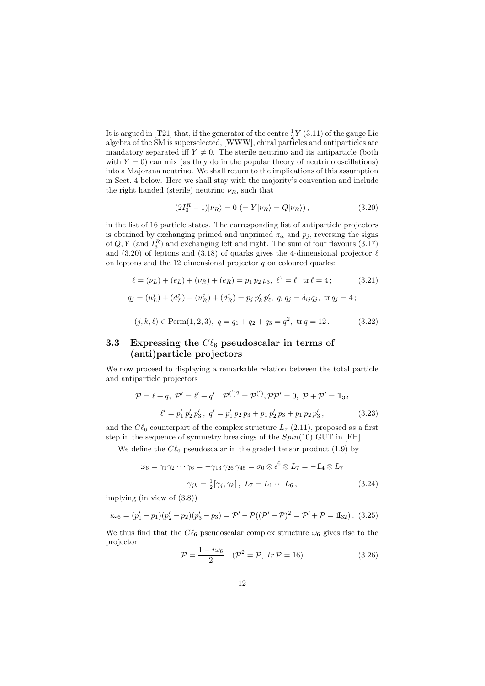It is argued in [T21] that, if the generator of the centre  $\frac{1}{2}Y(3.11)$  of the gauge Lie algebra of the SM is superselected, [WWW], chiral particles and antiparticles are mandatory separated iff  $Y \neq 0$ . The sterile neutrino and its antiparticle (both with  $Y = 0$  can mix (as they do in the popular theory of neutrino oscillations) into a Majorana neutrino. We shall return to the implications of this assumption in Sect. 4 below. Here we shall stay with the majority's convention and include the right handed (sterile) neutrino  $\nu_R$ , such that

$$
(2I_3^R - 1)|\nu_R\rangle = 0 \ (= Y|\nu_R\rangle = Q|\nu_R\rangle), \tag{3.20}
$$

in the list of 16 particle states. The corresponding list of antiparticle projectors is obtained by exchanging primed and unprimed  $\pi_{\alpha}$  and  $p_j$ , reversing the signs of  $Q, Y$  (and  $I_3^R$ ) and exchanging left and right. The sum of four flavours (3.17) and (3.20) of leptons and (3.18) of quarks gives the 4-dimensional projector  $\ell$ on leptons and the 12 dimensional projector  $q$  on coloured quarks:

$$
\ell = (\nu_L) + (e_L) + (\nu_R) + (e_R) = p_1 p_2 p_3, \ \ell^2 = \ell, \ \text{tr } \ell = 4; \tag{3.21}
$$
  

$$
q_j = (u_L^j) + (d_L^j) + (u_R^j) + (d_R^j) = p_j p'_k p'_\ell, \ q_i q_j = \delta_{ij} q_j, \ \text{tr } q_j = 4;
$$

$$
(j,k,\ell) \in \text{Perm}(1,2,3), \ q = q_1 + q_2 + q_3 = q^2, \ \text{tr}\,q = 12. \tag{3.22}
$$

## 3.3 Expressing the  $C\ell_6$  pseudoscalar in terms of (anti)particle projectors

We now proceed to displaying a remarkable relation between the total particle and antiparticle projectors

$$
\mathcal{P} = \ell + q, \ \mathcal{P}' = \ell' + q' \quad \mathcal{P}^{(')}{}^{2} = \mathcal{P}^{(')}, \mathcal{PP}' = 0, \ \mathcal{P} + \mathcal{P}' = \mathbb{I}_{32}
$$

$$
\ell' = p'_{1} p'_{2} p'_{3}, \ q' = p'_{1} p_{2} p_{3} + p_{1} p'_{2} p_{3} + p_{1} p_{2} p'_{3}, \tag{3.23}
$$

and the  $C\ell_6$  counterpart of the complex structure  $L_7$  (2.11), proposed as a first step in the sequence of symmetry breakings of the  $Spin(10)$  GUT in [FH].

We define the  $C\ell_6$  pseudoscalar in the graded tensor product (1.9) by

$$
\omega_6 = \gamma_1 \gamma_2 \cdots \gamma_6 = -\gamma_{13} \gamma_{26} \gamma_{45} = \sigma_0 \otimes \epsilon^6 \otimes L_7 = -\mathbb{I}_4 \otimes L_7
$$
  

$$
\gamma_{jk} = \frac{1}{2} [\gamma_j, \gamma_k], \ L_7 = L_1 \cdots L_6,
$$
 (3.24)

implying (in view of (3.8))

$$
i\omega_6 = (p'_1 - p_1)(p'_2 - p_2)(p'_3 - p_3) = \mathcal{P}' - \mathcal{P}((\mathcal{P}' - \mathcal{P})^2 = \mathcal{P}' + \mathcal{P} = \mathbb{I}_{32}).
$$
 (3.25)

We thus find that the  $Cl_6$  pseudoscalar complex structure  $\omega_6$  gives rise to the projector

$$
\mathcal{P} = \frac{1 - i\omega_6}{2} \quad (\mathcal{P}^2 = \mathcal{P}, \ tr \mathcal{P} = 16) \tag{3.26}
$$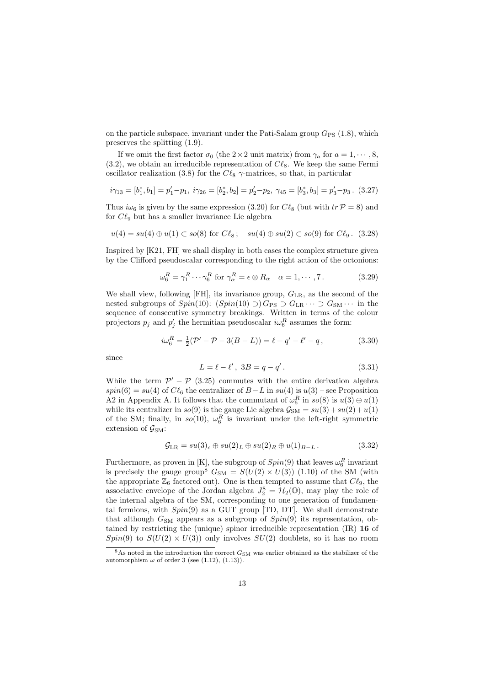on the particle subspace, invariant under the Pati-Salam group  $G_{PS}$  (1.8), which preserves the splitting (1.9).

If we omit the first factor  $\sigma_0$  (the  $2 \times 2$  unit matrix) from  $\gamma_a$  for  $a = 1, \dots, 8$ ,  $(3.2)$ , we obtain an irreducible representation of  $C\ell_8$ . We keep the same Fermi oscillator realization (3.8) for the  $C\ell_8$   $\gamma$ -matrices, so that, in particular

$$
i\gamma_{13} = [b_1^*, b_1] = p_1' - p_1, \ i\gamma_{26} = [b_2^*, b_2] = p_2' - p_2, \ \gamma_{45} = [b_3^*, b_3] = p_3' - p_3. \ (3.27)
$$

Thus  $i\omega_6$  is given by the same expression (3.20) for  $C\ell_8$  (but with  $tr \mathcal{P} = 8$ ) and for  $C\ell_9$  but has a smaller invariance Lie algebra

$$
u(4) = su(4) \oplus u(1) \subset so(8)
$$
 for  $C\ell_8$ ;  $su(4) \oplus su(2) \subset so(9)$  for  $C\ell_9$ . (3.28)

Inspired by [K21, FH] we shall display in both cases the complex structure given by the Clifford pseudoscalar corresponding to the right action of the octonions:

$$
\omega_6^R = \gamma_1^R \cdots \gamma_6^R \text{ for } \gamma_\alpha^R = \epsilon \otimes R_\alpha \quad \alpha = 1, \cdots, 7. \tag{3.29}
$$

We shall view, following  $[FH]$ , its invariance group,  $G_{LR}$ , as the second of the nested subgroups of  $Spin(10)$ :  $(Spin(10) \supset) G_{PS} \supset G_{LR} \cdots \supset G_{SM} \cdots$  in the sequence of consecutive symmetry breakings. Written in terms of the colour projectors  $p_j$  and  $p'_j$  the hermitian pseudoscalar  $i\omega_6^R$  assumes the form:

$$
i\omega_6^R = \frac{1}{2}(\mathcal{P}' - \mathcal{P} - 3(B - L)) = \ell + q' - \ell' - q, \qquad (3.30)
$$

since

$$
L = \ell - \ell', \ 3B = q - q'.
$$
 (3.31)

While the term  $\mathcal{P}' - \mathcal{P}$  (3.25) commutes with the entire derivation algebra  $spin(6) = su(4)$  of  $C\ell_6$  the centralizer of  $B-L$  in  $su(4)$  is  $u(3)$  – see Proposition A2 in Appendix A. It follows that the commutant of  $\omega_6^R$  in  $so(8)$  is  $u(3) \oplus u(1)$ while its centralizer in  $so(9)$  is the gauge Lie algebra  $\mathcal{G}_{SM} = su(3) + su(2) + u(1)$ of the SM; finally, in  $so(10)$ ,  $\omega_6^R$  is invariant under the left-right symmetric extension of  $\mathcal{G}_{\rm SM}$ :

$$
\mathcal{G}_{LR} = su(3)_c \oplus su(2)_L \oplus su(2)_R \oplus u(1)_{B-L}.
$$
\n(3.32)

Furthermore, as proven in [K], the subgroup of  $Spin(9)$  that leaves  $\omega_6^R$  invariant is precisely the gauge group<sup>8</sup>  $G_{\text{SM}} = S(U(2) \times U(3))$  (1.10) of the SM (with the appropriate  $\mathbb{Z}_6$  factored out). One is then tempted to assume that  $C\ell_9$ , the associative envelope of the Jordan algebra  $J_2^8 = \mathcal{H}_2(\mathbb{O})$ , may play the role of the internal algebra of the SM, corresponding to one generation of fundamental fermions, with  $Spin(9)$  as a GUT group [TD, DT]. We shall demonstrate that although  $G_{\text{SM}}$  appears as a subgroup of  $Spin(9)$  its representation, obtained by restricting the (unique) spinor irreducible representation (IR) 16 of  $Spin(9)$  to  $S(U(2) \times U(3))$  only involves  $SU(2)$  doublets, so it has no room

 $8\text{As}$  noted in the introduction the correct  $G_{\text{SM}}$  was earlier obtained as the stabilizer of the automorphism  $\omega$  of order 3 (see (1.12), (1.13)).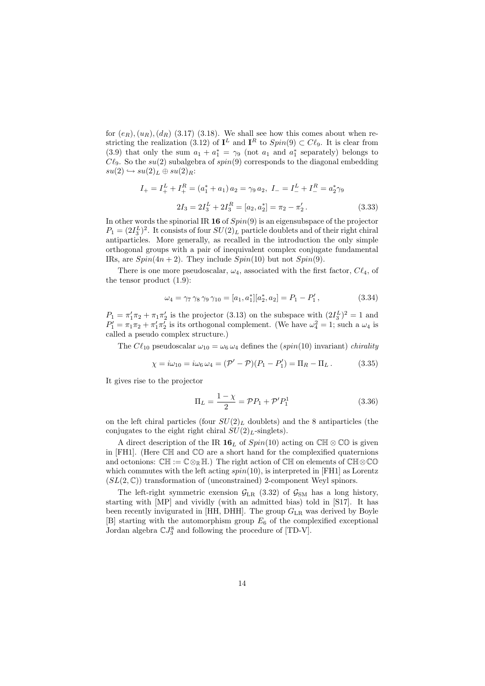for  $(e_R)$ ,  $(u_R)$ ,  $(d_R)$  (3.17) (3.18). We shall see how this comes about when restricting the realization (3.12) of  $I^L$  and  $I^R$  to  $Spin(9) \subset C\ell_9$ . It is clear from (3.9) that only the sum  $a_1 + a_1^* = \gamma_9$  (not  $a_1$  and  $a_1^*$  separately) belongs to  $C\ell_9$ . So the su(2) subalgebra of spin(9) corresponds to the diagonal embedding  $su(2) \hookrightarrow su(2)_L \oplus su(2)_R$ :

$$
I_{+} = I_{+}^{L} + I_{+}^{R} = (a_{1}^{*} + a_{1}) a_{2} = \gamma_{9} a_{2}, \ I_{-} = I_{-}^{L} + I_{-}^{R} = a_{2}^{*} \gamma_{9}
$$

$$
2I_{3} = 2I_{3}^{L} + 2I_{3}^{R} = [a_{2}, a_{2}^{*}] = \pi_{2} - \pi_{2}'.
$$
(3.33)

In other words the spinorial IR 16 of  $Spin(9)$  is an eigensubspace of the projector  $P_1 = (2I_3^L)^2$ . It consists of four  $SU(2)_L$  particle doublets and of their right chiral antiparticles. More generally, as recalled in the introduction the only simple orthogonal groups with a pair of inequivalent complex conjugate fundamental IRs, are  $Spin(4n+2)$ . They include  $Spin(10)$  but not  $Spin(9)$ .

There is one more pseudoscalar,  $\omega_4$ , associated with the first factor,  $Cl_4$ , of the tensor product (1.9):

$$
\omega_4 = \gamma_7 \gamma_8 \gamma_9 \gamma_{10} = [a_1, a_1^*][a_2^*, a_2] = P_1 - P_1', \qquad (3.34)
$$

 $P_1 = \pi'_1 \pi_2 + \pi_1 \pi'_2$  is the projector (3.13) on the subspace with  $(2I_3^L)^2 = 1$  and  $P'_1 = \pi_1 \pi_2 + \pi'_1 \pi'_2$  is its orthogonal complement. (We have  $\omega_4^2 = 1$ ; such a  $\omega_4$  is called a pseudo complex structure.)

The  $C\ell_{10}$  pseudoscalar  $\omega_{10} = \omega_6 \omega_4$  defines the (spin(10) invariant) chirality

$$
\chi = i\omega_{10} = i\omega_6 \,\omega_4 = (\mathcal{P}' - \mathcal{P})(P_1 - P_1') = \Pi_R - \Pi_L. \tag{3.35}
$$

It gives rise to the projector

$$
\Pi_L = \frac{1 - \chi}{2} = \mathcal{P}P_1 + \mathcal{P}'P_1^1 \tag{3.36}
$$

on the left chiral particles (four  $SU(2)_L$  doublets) and the 8 antiparticles (the conjugates to the eight right chiral  $SU(2)_L$ -singlets).

A direct description of the IR 16<sub>L</sub> of  $Spin(10)$  acting on  $\mathbb{CH} \otimes \mathbb{CO}$  is given in  $[FH1]$ . (Here  $\mathbb{CH}$  and  $\mathbb{CO}$  are a short hand for the complexified quaternions and octonions:  $\mathbb{CH} := \mathbb{C} \otimes_{\mathbb{R}} \mathbb{H}$ .) The right action of  $\mathbb{CH}$  on elements of  $\mathbb{CH} \otimes \mathbb{C} \mathbb{O}$ which commutes with the left acting  $spin(10)$ , is interpreted in [FH1] as Lorentz  $(SL(2,\mathbb{C}))$  transformation of (unconstrained) 2-component Weyl spinors.

The left-right symmetric exension  $\mathcal{G}_{LR}$  (3.32) of  $\mathcal{G}_{SM}$  has a long history, starting with [MP] and vividly (with an admitted bias) told in [S17]. It has been recently invigurated in [HH, DHH]. The group  $G_{LR}$  was derived by Boyle  $[B]$  starting with the automorphism group  $E_6$  of the complexified exceptional Jordan algebra  $\mathbb{C}J_3^8$  and following the procedure of [TD-V].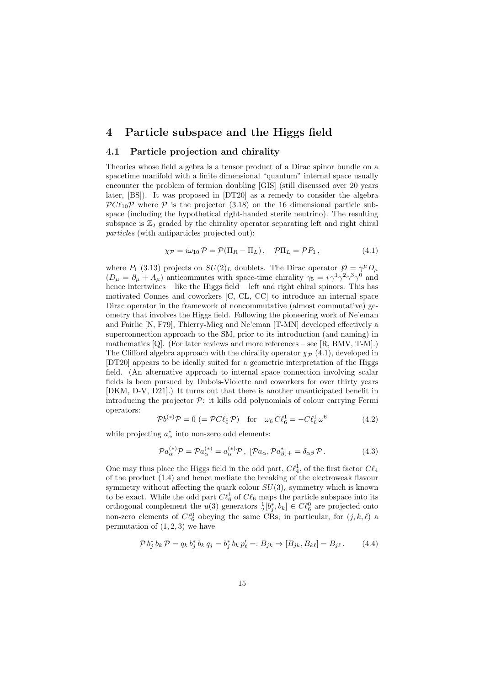## 4 Particle subspace and the Higgs field

#### 4.1 Particle projection and chirality

Theories whose field algebra is a tensor product of a Dirac spinor bundle on a spacetime manifold with a finite dimensional "quantum" internal space usually encounter the problem of fermion doubling [GIS] (still discussed over 20 years later, [BS]). It was proposed in [DT20] as a remedy to consider the algebra  $\mathcal{P}Cl_{10}\mathcal{P}$  where  $\mathcal P$  is the projector (3.18) on the 16 dimensional particle subspace (including the hypothetical right-handed sterile neutrino). The resulting subspace is  $\mathbb{Z}_2$  graded by the chirality operator separating left and right chiral particles (with antiparticles projected out):

$$
\chi_{\mathcal{P}} = i\omega_{10} \mathcal{P} = \mathcal{P}(\Pi_R - \Pi_L), \quad \mathcal{P}\Pi_L = \mathcal{P}P_1, \qquad (4.1)
$$

where  $P_1$  (3.13) projects on  $SU(2)_L$  doublets. The Dirac operator  $\mathcal{D} = \gamma^{\mu} D_{\mu}$  $(D_{\mu} = \partial_{\mu} + A_{\mu})$  anticommutes with space-time chirality  $\gamma_5 = i \gamma^1 \gamma^2 \gamma^3 \gamma^0$  and hence intertwines – like the Higgs field – left and right chiral spinors. This has motivated Connes and coworkers [C, CL, CC] to introduce an internal space Dirac operator in the framework of noncommutative (almost commutative) geometry that involves the Higgs field. Following the pioneering work of Ne'eman and Fairlie [N, F79], Thierry-Mieg and Ne'eman [T-MN] developed effectively a superconnection approach to the SM, prior to its introduction (and naming) in mathematics [Q]. (For later reviews and more references – see [R, BMV, T-M].) The Clifford algebra approach with the chirality operator  $\chi_{\mathcal{P}}$  (4.1), developed in [DT20] appears to be ideally suited for a geometric interpretation of the Higgs field. (An alternative approach to internal space connection involving scalar fields is been pursued by Dubois-Violette and coworkers for over thirty years [DKM, D-V, D21].) It turns out that there is another unanticipated benefit in introducing the projector  $\mathcal{P}$ : it kills odd polynomials of colour carrying Fermi operators:

$$
\mathcal{P}b^{(*)}\mathcal{P} = 0 \ (= \mathcal{P}C\ell_6^1 \mathcal{P}) \quad \text{for} \quad \omega_6 C\ell_6^1 = -C\ell_6^1 \omega^6 \tag{4.2}
$$

while projecting  $a^*_{\alpha}$  into non-zero odd elements:

$$
\mathcal{P}a_{\alpha}^{(*)}\mathcal{P} = \mathcal{P}a_{\alpha}^{(*)} = a_{\alpha}^{(*)}\mathcal{P}, \ [\mathcal{P}a_{\alpha}, \mathcal{P}a_{\beta}^{*}]_{+} = \delta_{\alpha\beta}\mathcal{P}.
$$
 (4.3)

One may thus place the Higgs field in the odd part,  $C\ell_4^1$ , of the first factor  $C\ell_4$ of the product (1.4) and hence mediate the breaking of the electroweak flavour symmetry without affecting the quark colour  $SU(3)_c$  symmetry which is known to be exact. While the odd part  $C\ell_6$  of  $C\ell_6$  maps the particle subspace into its orthogonal complement the  $u(3)$  generators  $\frac{1}{2}[b_j^*, b_k] \in C\ell_6^0$  are projected onto non-zero elements of  $C\ell_6^0$  obeying the same CRs; in particular, for  $(j, k, \ell)$  a permutation of  $(1, 2, 3)$  we have

$$
\mathcal{P} b_j^* b_k \mathcal{P} = q_k b_j^* b_k q_j = b_j^* b_k p'_\ell =: B_{jk} \Rightarrow [B_{jk}, B_{k\ell}] = B_{j\ell}.
$$
 (4.4)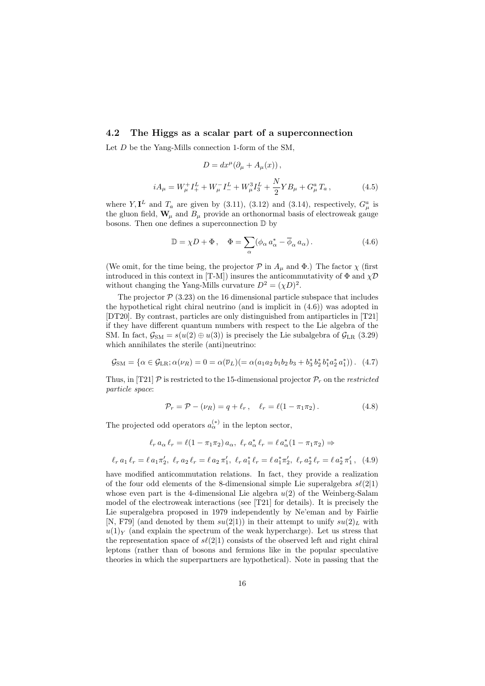#### 4.2 The Higgs as a scalar part of a superconnection

Let D be the Yang-Mills connection 1-form of the SM.

$$
D = dx^{\mu} (\partial_{\mu} + A_{\mu}(x)),
$$
  

$$
iA_{\mu} = W_{\mu}^{+} I_{+}^{L} + W_{\mu}^{-} I_{-}^{L} + W_{\mu}^{3} I_{3}^{L} + \frac{N}{2} Y B_{\mu} + G_{\mu}^{a} T_{a},
$$
 (4.5)

where Y,  $I^L$  and  $T_a$  are given by (3.11), (3.12) and (3.14), respectively,  $G^a_\mu$  is the gluon field,  $\mathbf{W}_{\mu}$  and  $B_{\mu}$  provide an orthonormal basis of electroweak gauge bosons. Then one defines a superconnection D by

$$
\mathbb{D} = \chi D + \Phi \,, \quad \Phi = \sum_{\alpha} (\phi_{\alpha} a_{\alpha}^* - \overline{\phi}_{\alpha} a_{\alpha}). \tag{4.6}
$$

(We omit, for the time being, the projector  $P$  in  $A_\mu$  and  $\Phi$ .) The factor  $\chi$  (first introduced in this context in [T-M]) insures the anticommutativity of  $\Phi$  and  $\chi \mathcal{D}$ without changing the Yang-Mills curvature  $D^2 = (\chi D)^2$ .

The projector  $P(3.23)$  on the 16 dimensional particle subspace that includes the hypothetical right chiral neutrino (and is implicit in (4.6)) was adopted in [DT20]. By contrast, particles are only distinguished from antiparticles in [T21] if they have different quantum numbers with respect to the Lie algebra of the SM. In fact,  $\mathcal{G}_{SM} = s(u(2) \oplus u(3))$  is precisely the Lie subalgebra of  $\mathcal{G}_{LR}$  (3.29) which annihilates the sterile (anti)neutrino:

$$
\mathcal{G}_{\rm SM} = \{ \alpha \in \mathcal{G}_{\rm LR}; \alpha(\nu_R) = 0 = \alpha(\overline{\nu}_L)(= \alpha(a_1 a_2 b_1 b_2 b_3 + b_3^* b_2^* b_1^* a_2^* a_1^*) ). \tag{4.7}
$$

Thus, in [T21]  $\mathcal{P}$  is restricted to the 15-dimensional projector  $\mathcal{P}_r$  on the *restricted* particle space:

$$
\mathcal{P}_r = \mathcal{P} - (\nu_R) = q + \ell_r, \quad \ell_r = \ell(1 - \pi_1 \pi_2). \tag{4.8}
$$

The projected odd operators  $a_{\alpha}^{(*)}$  in the lepton sector,

$$
\ell_r a_\alpha \ell_r = \ell(1 - \pi_1 \pi_2) a_\alpha, \ \ell_r a_\alpha^* \ell_r = \ell a_\alpha^* (1 - \pi_1 \pi_2) \Rightarrow
$$

$$
\ell_r a_1 \ell_r = \ell a_1 \pi'_2, \ \ell_r a_2 \ell_r = \ell a_2 \pi'_1, \ \ell_r a_1^* \ell_r = \ell a_1^* \pi'_2, \ \ell_r a_2^* \ell_r = \ell a_2^* \pi'_1, \tag{4.9}
$$

have modified anticommutation relations. In fact, they provide a realization of the four odd elements of the 8-dimensional simple Lie superalgebra  $s\ell(2|1)$ whose even part is the 4-dimensional Lie algebra  $u(2)$  of the Weinberg-Salam model of the electroweak interactions (see [T21] for details). It is precisely the Lie superalgebra proposed in 1979 independently by Ne'eman and by Fairlie [N, F79] (and denoted by them  $su(2|1)$ ) in their attempt to unify  $su(2)<sub>L</sub>$  with  $u(1)_Y$  (and explain the spectrum of the weak hypercharge). Let us stress that the representation space of  $s\ell(2|1)$  consists of the observed left and right chiral leptons (rather than of bosons and fermions like in the popular speculative theories in which the superpartners are hypothetical). Note in passing that the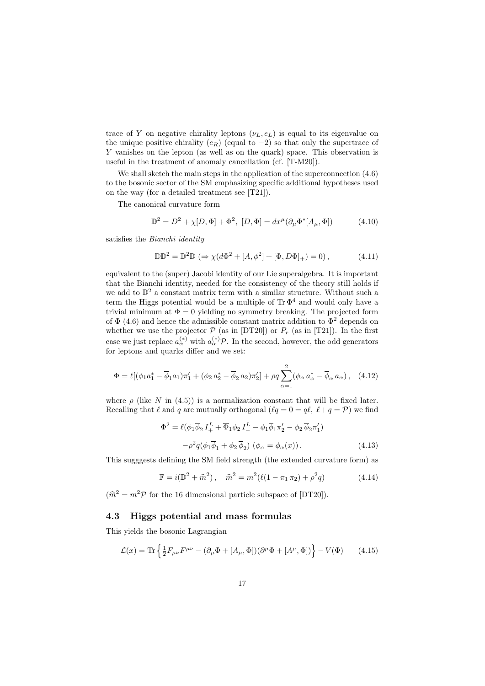trace of Y on negative chirality leptons  $(\nu_L, e_L)$  is equal to its eigenvalue on the unique positive chirality  $(e_R)$  (equal to  $-2$ ) so that only the supertrace of Y vanishes on the lepton (as well as on the quark) space. This observation is useful in the treatment of anomaly cancellation (cf. [T-M20]).

We shall sketch the main steps in the application of the superconnection (4.6) to the bosonic sector of the SM emphasizing specific additional hypotheses used on the way (for a detailed treatment see [T21]).

The canonical curvature form

$$
\mathbb{D}^2 = D^2 + \chi[D, \Phi] + \Phi^2, [D, \Phi] = dx^{\mu}(\partial_{\mu}\Phi^*[A_{\mu}, \Phi])
$$
(4.10)

satisfies the Bianchi identity

$$
\mathbb{D}\mathbb{D}^2 = \mathbb{D}^2 \mathbb{D} \; (\Rightarrow \chi(d\Phi^2 + [A, \phi^2] + [\Phi, D\Phi]_+) = 0), \tag{4.11}
$$

equivalent to the (super) Jacobi identity of our Lie superalgebra. It is important that the Bianchi identity, needed for the consistency of the theory still holds if we add to  $\mathbb{D}^2$  a constant matrix term with a similar structure. Without such a term the Higgs potential would be a multiple of  $\text{Tr} \Phi^4$  and would only have a trivial minimum at  $\Phi = 0$  yielding no symmetry breaking. The projected form of  $\Phi$  (4.6) and hence the admissible constant matrix addition to  $\Phi$ <sup>2</sup> depends on whether we use the projector  $P$  (as in [DT20]) or  $P_r$  (as in [T21]). In the first case we just replace  $a_{\alpha}^{(*)}$  with  $a_{\alpha}^{(*)}$  P. In the second, however, the odd generators for leptons and quarks differ and we set:

$$
\Phi = \ell [(\phi_1 a_1^* - \overline{\phi}_1 a_1) \pi_1' + (\phi_2 a_2^* - \overline{\phi}_2 a_2) \pi_2'] + \rho q \sum_{\alpha=1}^2 (\phi_\alpha a_\alpha^* - \overline{\phi}_\alpha a_\alpha), \quad (4.12)
$$

where  $\rho$  (like N in (4.5)) is a normalization constant that will be fixed later. Recalling that  $\ell$  and q are mutually orthogonal  $(\ell q = 0 = q\ell, \ell + q = \mathcal{P})$  we find

$$
\Phi^2 = \ell(\phi_1 \overline{\phi}_2 I_+^L + \overline{\Phi}_1 \phi_2 I_-^L - \phi_1 \overline{\phi}_1 \pi_2' - \phi_2 \overline{\phi}_2 \pi_1')
$$

$$
-\rho^2 q(\phi_1 \overline{\phi}_1 + \phi_2 \overline{\phi}_2) (\phi_\alpha = \phi_\alpha(x)). \tag{4.13}
$$

This sugggests defining the SM field strength (the extended curvature form) as

$$
\mathbb{F} = i(\mathbb{D}^2 + \hat{m}^2), \quad \hat{m}^2 = m^2(\ell(1 - \pi_1 \pi_2) + \rho^2 q)
$$
 (4.14)

 $(\hat{m}^2 = m^2 \mathcal{P}$  for the 16 dimensional particle subspace of [DT20]).

#### 4.3 Higgs potential and mass formulas

This yields the bosonic Lagrangian

$$
\mathcal{L}(x) = \text{Tr}\left\{\frac{1}{2}F_{\mu\nu}F^{\mu\nu} - (\partial_{\mu}\Phi + [A_{\mu}, \Phi])(\partial^{\mu}\Phi + [A^{\mu}, \Phi])\right\} - V(\Phi) \tag{4.15}
$$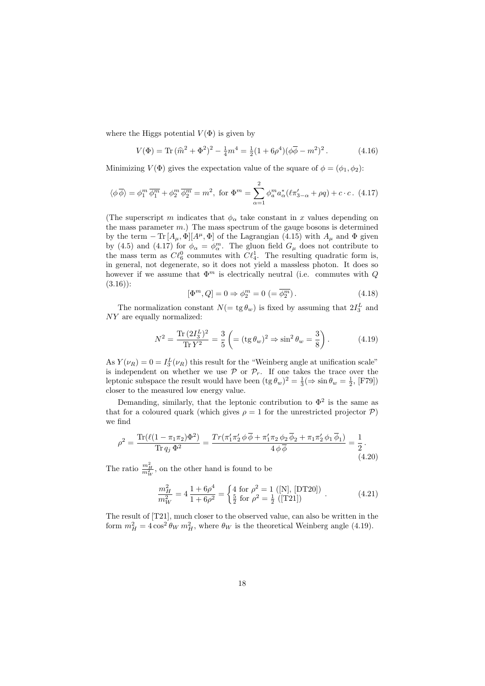where the Higgs potential  $V(\Phi)$  is given by

$$
V(\Phi) = \text{Tr} \, (\hat{m}^2 + \Phi^2)^2 - \frac{1}{4} m^4 = \frac{1}{2} (1 + 6\rho^4) (\phi \overline{\phi} - m^2)^2. \tag{4.16}
$$

Minimizing  $V(\Phi)$  gives the expectation value of the square of  $\phi = (\phi_1, \phi_2)$ :

$$
\langle \phi \overline{\phi} \rangle = \phi_1^m \overline{\phi_1^m} + \phi_2^m \overline{\phi_2^m} = m^2, \text{ for } \Phi^m = \sum_{\alpha=1}^2 \phi_a^m a_{\alpha}^* (\ell \pi'_{3-\alpha} + \rho q) + c \cdot c. \tag{4.17}
$$

(The superscript m indicates that  $\phi_{\alpha}$  take constant in x values depending on the mass parameter  $m$ .) The mass spectrum of the gauge bosons is determined by the term  $-\text{Tr}[A_\mu,\Phi][A^\mu,\Phi]$  of the Lagrangian (4.15) with  $A_\mu$  and  $\Phi$  given by (4.5) and (4.17) for  $\phi_{\alpha} = \phi_{\alpha}^{m}$ . The gluon field  $G_{\mu}$  does not contribute to the mass term as  $C\ell_6^0$  commutes with  $C\ell_4^1$ . The resulting quadratic form is, in general, not degenerate, so it does not yield a massless photon. It does so however if we assume that  $\Phi^m$  is electrically neutral (i.e. commutes with Q  $(3.16)$ :

$$
[\Phi^m, Q] = 0 \Rightarrow \phi_2^m = 0 \ (= \overline{\phi_2^m}). \tag{4.18}
$$

The normalization constant  $N(=\text{tg }\theta_w)$  is fixed by assuming that  $2I_3^L$  and NY are equally normalized:

$$
N^{2} = \frac{\text{Tr}\,(2I_{3}^{L})^{2}}{\text{Tr}\,Y^{2}} = \frac{3}{5} \left( = (\text{tg}\,\theta_{w})^{2} \Rightarrow \sin^{2}\theta_{w} = \frac{3}{8} \right). \tag{4.19}
$$

As  $Y(\nu_R) = 0 = I_3^L(\nu_R)$  this result for the "Weinberg angle at unification scale" is independent on whether we use  $P$  or  $P_r$ . If one takes the trace over the leptonic subspace the result would have been  $(\text{tg } \theta_w)^2 = \frac{1}{3} (\Rightarrow \sin \theta_w = \frac{1}{2}, \text{[F79]})$ closer to the measured low energy value.

Demanding, similarly, that the leptonic contribution to  $\Phi^2$  is the same as that for a coloured quark (which gives  $\rho = 1$  for the unrestricted projector  $\mathcal{P}$ ) we find

$$
\rho^2 = \frac{\text{Tr}(\ell(1 - \pi_1 \pi_2)\Phi^2)}{\text{Tr} q_j \Phi^2} = \frac{\text{Tr}(\pi_1' \pi_2' \phi \overline{\phi} + \pi_1' \pi_2 \phi_2 \overline{\phi}_2 + \pi_1 \pi_2' \phi_1 \overline{\phi}_1)}{4 \phi \overline{\phi}} = \frac{1}{2}.
$$
\n(4.20)

The ratio  $\frac{m_H^2}{m_W^2}$ , on the other hand is found to be

$$
\frac{m_H^2}{m_W^2} = 4 \frac{1 + 6\rho^4}{1 + 6\rho^2} = \begin{cases} 4 \text{ for } \rho^2 = 1 \text{ ([N], [DT20])} \\ \frac{5}{2} \text{ for } \rho^2 = \frac{1}{2} \text{ ([T21])} \end{cases} . \tag{4.21}
$$

The result of [T21], much closer to the observed value, can also be written in the form  $m_H^2 = 4 \cos^2 \theta_W m_H^2$ , where  $\theta_W$  is the theoretical Weinberg angle (4.19).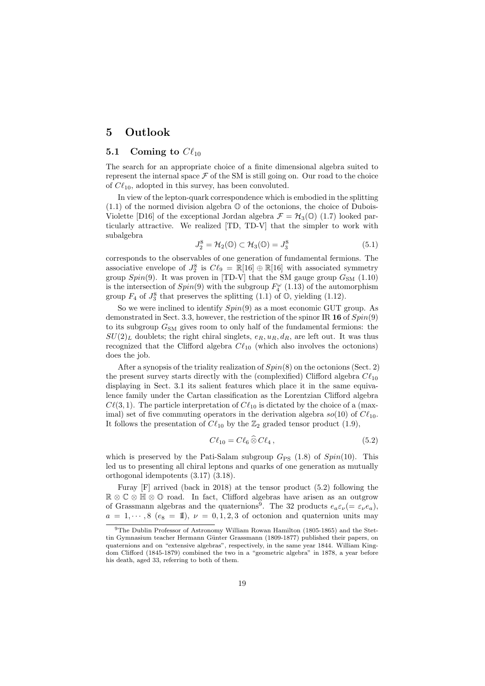## 5 Outlook

#### 5.1 Coming to  $C\ell_{10}$

The search for an appropriate choice of a finite dimensional algebra suited to represent the internal space  $\mathcal F$  of the SM is still going on. Our road to the choice of  $C\ell_{10}$ , adopted in this survey, has been convoluted.

In view of the lepton-quark correspondence which is embodied in the splitting  $(1.1)$  of the normed division algebra  $\mathbb O$  of the octonions, the choice of Dubois-Violette [D16] of the exceptional Jordan algebra  $\mathcal{F} = \mathcal{H}_3(\mathbb{O})$  (1.7) looked particularly attractive. We realized [TD, TD-V] that the simpler to work with subalgebra

$$
J_2^8 = \mathcal{H}_2(\mathbb{O}) \subset \mathcal{H}_3(\mathbb{O}) = J_3^8 \tag{5.1}
$$

corresponds to the observables of one generation of fundamental fermions. The associative envelope of  $J_2^8$  is  $C\ell_9 = \mathbb{R}[16] \oplus \mathbb{R}[16]$  with associated symmetry group  $Spin(9)$ . It was proven in [TD-V] that the SM gauge group  $G_{SM}$  (1.10) is the intersection of  $Spin(9)$  with the subgroup  $F_4^{\omega}$  (1.13) of the automorphism group  $F_4$  of  $J_3^8$  that preserves the splitting (1.1) of  $\mathbb{O}$ , yielding (1.12).

So we were inclined to identify  $Spin(9)$  as a most economic GUT group. As demonstrated in Sect. 3.3, however, the restriction of the spinor IR 16 of  $Spin(9)$ to its subgroup  $G_{SM}$  gives room to only half of the fundamental fermions: the  $SU(2)_L$  doublets; the right chiral singlets,  $e_R$ ,  $u_R$ ,  $d_R$ , are left out. It was thus recognized that the Clifford algebra  $C\ell_{10}$  (which also involves the octonions) does the job.

After a synopsis of the triality realization of  $Spin(8)$  on the octonions (Sect. 2) the present survey starts directly with the (complexified) Clifford algebra  $Cl_{10}$ displaying in Sect. 3.1 its salient features which place it in the same equivalence family under the Cartan classification as the Lorentzian Clifford algebra  $C\ell(3, 1)$ . The particle interpretation of  $C\ell_{10}$  is dictated by the choice of a (maximal) set of five commuting operators in the derivation algebra  $so(10)$  of  $C\ell_{10}$ . It follows the presentation of  $C\ell_{10}$  by the  $\mathbb{Z}_2$  graded tensor product (1.9),

$$
C\ell_{10} = C\ell_6 \,\widehat{\otimes}\, C\ell_4\,,\tag{5.2}
$$

which is preserved by the Pati-Salam subgroup  $G_{PS}$  (1.8) of  $Spin(10)$ . This led us to presenting all chiral leptons and quarks of one generation as mutually orthogonal idempotents (3.17) (3.18).

Furay [F] arrived (back in 2018) at the tensor product (5.2) following the R ⊗ C ⊗ H ⊗ O road. In fact, Clifford algebras have arisen as an outgrow of Grassmann algebras and the quaternions<sup>9</sup>. The 32 products  $e_a \varepsilon_\nu (= \varepsilon_\nu e_a)$ ,  $a = 1, \dots, 8$  ( $e_8 = 1$ ),  $\nu = 0, 1, 2, 3$  of octonion and quaternion units may

<sup>9</sup>The Dublin Professor of Astronomy William Rowan Hamilton (1805-1865) and the Stettin Gymnasium teacher Hermann Günter Grassmann (1809-1877) published their papers, on quaternions and on "extensive algebras", respectively, in the same year 1844. William Kingdom Clifford (1845-1879) combined the two in a "geometric algebra" in 1878, a year before his death, aged 33, referring to both of them.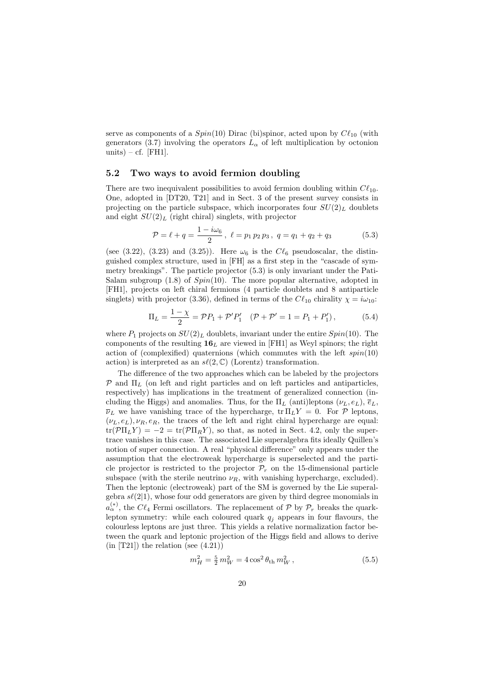serve as components of a  $Spin(10)$  Dirac (bi)spinor, acted upon by  $C\ell_{10}$  (with generators (3.7) involving the operators  $L_{\alpha}$  of left multiplication by octonion units) – cf. [FH1].

#### 5.2 Two ways to avoid fermion doubling

There are two inequivalent possibilities to avoid fermion doubling within  $C\ell_{10}$ . One, adopted in [DT20, T21] and in Sect. 3 of the present survey consists in projecting on the particle subspace, which incorporates four  $SU(2)_L$  doublets and eight  $SU(2)_L$  (right chiral) singlets, with projector

$$
\mathcal{P} = \ell + q = \frac{1 - i\omega_6}{2}, \ \ell = p_1 p_2 p_3, \ q = q_1 + q_2 + q_3 \tag{5.3}
$$

(see (3.22), (3.23) and (3.25)). Here  $\omega_6$  is the  $C\ell_6$  pseudoscalar, the distinguished complex structure, used in [FH] as a first step in the "cascade of symmetry breakings". The particle projector (5.3) is only invariant under the Pati-Salam subgroup  $(1.8)$  of  $Spin(10)$ . The more popular alternative, adopted in [FH1], projects on left chiral fermions (4 particle doublets and 8 antiparticle singlets) with projector (3.36), defined in terms of the  $C\ell_{10}$  chirality  $\chi = i\omega_{10}$ :

$$
\Pi_L = \frac{1 - \chi}{2} = \mathcal{P}P_1 + \mathcal{P}'P'_1 \quad (\mathcal{P} + \mathcal{P}' = 1 = P_1 + P'_1), \tag{5.4}
$$

where  $P_1$  projects on  $SU(2)_L$  doublets, invariant under the entire  $Spin(10)$ . The components of the resulting  $16<sub>L</sub>$  are viewed in [FH1] as Weyl spinors; the right action of (complexified) quaternions (which commutes with the left  $spin(10)$ action) is interpreted as an  $s\ell(2,\mathbb{C})$  (Lorentz) transformation.

The difference of the two approaches which can be labeled by the projectors  $\mathcal P$  and  $\Pi_L$  (on left and right particles and on left particles and antiparticles, respectively) has implications in the treatment of generalized connection (including the Higgs) and anomalies. Thus, for the  $\Pi_L$  (anti)leptons  $(\nu_L, e_L)$ ,  $\overline{e}_L$ ,  $\overline{\nu}_L$  we have vanishing trace of the hypercharge,  $tr \prod_L Y = 0$ . For  $\mathcal P$  leptons,  $(\nu_L, e_L), \nu_R, e_R$ , the traces of the left and right chiral hypercharge are equal:  $tr(\mathcal{P} \Pi_L Y) = -2 = tr(\mathcal{P} \Pi_R Y)$ , so that, as noted in Sect. 4.2, only the supertrace vanishes in this case. The associated Lie superalgebra fits ideally Quillen's notion of super connection. A real "physical difference" only appears under the assumption that the electroweak hypercharge is superselected and the particle projector is restricted to the projector  $\mathcal{P}_r$  on the 15-dimensional particle subspace (with the sterile neutrino  $\nu_R$ , with vanishing hypercharge, excluded). Then the leptonic (electroweak) part of the SM is governed by the Lie superalgebra  $s\ell(2|1)$ , whose four odd generators are given by third degree monomials in  $a_{\alpha}^{(*)}$ , the  $C\ell_4$  Fermi oscillators. The replacement of  $P$  by  $P_r$  breaks the quarklepton symmetry: while each coloured quark  $q_j$  appears in four flavours, the colourless leptons are just three. This yields a relative normalization factor between the quark and leptonic projection of the Higgs field and allows to derive  $(in [T21])$  the relation (see  $(4.21))$ )

$$
m_H^2 = \frac{5}{2} m_W^2 = 4 \cos^2 \theta_{\text{th}} m_W^2, \qquad (5.5)
$$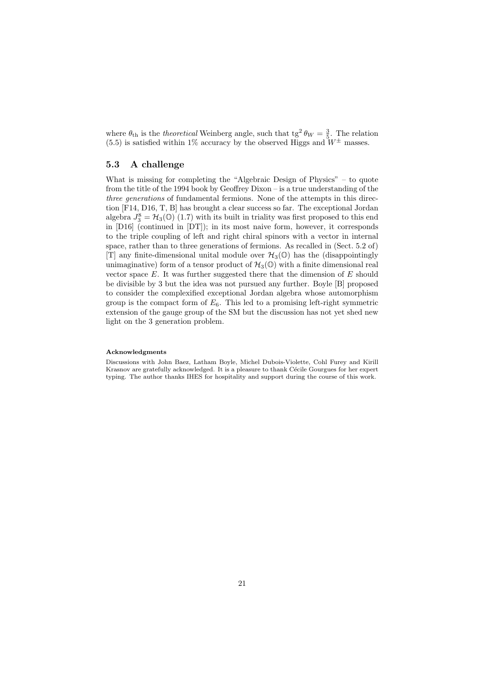where  $\theta_{\text{th}}$  is the *theoretical* Weinberg angle, such that tg<sup>2</sup>  $\theta_W = \frac{3}{5}$ . The relation (5.5) is satisfied within 1% accuracy by the observed Higgs and  $W^{\pm}$  masses.

#### 5.3 A challenge

What is missing for completing the "Algebraic Design of Physics" – to quote from the title of the 1994 book by Geoffrey Dixon – is a true understanding of the three generations of fundamental fermions. None of the attempts in this direction [F14, D16, T, B] has brought a clear success so far. The exceptional Jordan algebra  $J_3^8 = \mathcal{H}_3(\mathbb{O})$  (1.7) with its built in triality was first proposed to this end in [D16] (continued in [DT]); in its most naive form, however, it corresponds to the triple coupling of left and right chiral spinors with a vector in internal space, rather than to three generations of fermions. As recalled in (Sect. 5.2 of) [T] any finite-dimensional unital module over  $\mathcal{H}_3(\mathbb{O})$  has the (disappointingly unimaginative) form of a tensor product of  $\mathcal{H}_3(\mathbb{O})$  with a finite dimensional real vector space  $E$ . It was further suggested there that the dimension of  $E$  should be divisible by 3 but the idea was not pursued any further. Boyle [B] proposed to consider the complexified exceptional Jordan algebra whose automorphism group is the compact form of  $E_6$ . This led to a promising left-right symmetric extension of the gauge group of the SM but the discussion has not yet shed new light on the 3 generation problem.

#### Acknowledgments

Discussions with John Baez, Latham Boyle, Michel Dubois-Violette, Cohl Furey and Kirill Krasnov are gratefully acknowledged. It is a pleasure to thank Cécile Gourgues for her expert typing. The author thanks IHES for hospitality and support during the course of this work.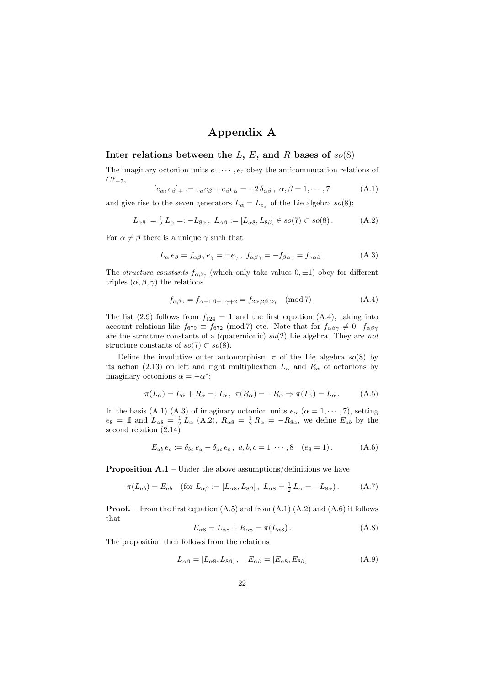# Appendix A

## Inter relations between the  $L, E$ , and R bases of  $so(8)$

The imaginary octonion units  $e_1, \dots, e_7$  obey the anticommutation relations of  $C\ell_{-7}$ 

$$
[e_{\alpha}, e_{\beta}]_{+} := e_{\alpha}e_{\beta} + e_{\beta}e_{\alpha} = -2\,\delta_{\alpha\beta}, \ \alpha, \beta = 1, \cdots, 7 \tag{A.1}
$$

and give rise to the seven generators  $L_{\alpha} = L_{e_{\alpha}}$  of the Lie algebra  $so(8)$ :

$$
L_{\alpha 8} := \frac{1}{2} L_{\alpha} =: -L_{8\alpha} , L_{\alpha\beta} := [L_{\alpha 8}, L_{8\beta}] \in so(7) \subset so(8).
$$
 (A.2)

For  $\alpha \neq \beta$  there is a unique  $\gamma$  such that

$$
L_{\alpha} e_{\beta} = f_{\alpha\beta\gamma} e_{\gamma} = \pm e_{\gamma}, \ f_{\alpha\beta\gamma} = -f_{\beta\alpha\gamma} = f_{\gamma\alpha\beta}.
$$
 (A.3)

The *structure constants*  $f_{\alpha\beta\gamma}$  (which only take values  $(0, \pm 1)$ ) obey for different triples  $(\alpha, \beta, \gamma)$  the relations

$$
f_{\alpha\beta\gamma} = f_{\alpha+1\,\beta+1\,\gamma+2} = f_{2\alpha,2\beta,2\gamma} \pmod{7}.
$$
 (A.4)

The list (2.9) follows from  $f_{124} = 1$  and the first equation (A.4), taking into account relations like  $f_{679} \equiv f_{672} \pmod{7}$  etc. Note that for  $f_{\alpha\beta\gamma} \neq 0$   $f_{\alpha\beta\gamma}$ are the structure constants of a (quaternionic)  $su(2)$  Lie algebra. They are not structure constants of  $so(7) \subset so(8)$ .

Define the involutive outer automorphism  $\pi$  of the Lie algebra  $so(8)$  by its action (2.13) on left and right multiplication  $L_{\alpha}$  and  $R_{\alpha}$  of octonions by imaginary octonions  $\alpha = -\alpha^*$ :

$$
\pi(L_{\alpha}) = L_{\alpha} + R_{\alpha} =: T_{\alpha}, \ \pi(R_{\alpha}) = -R_{\alpha} \Rightarrow \pi(T_{\alpha}) = L_{\alpha}.
$$
 (A.5)

In the basis (A.1) (A.3) of imaginary octonion units  $e_{\alpha}$  ( $\alpha = 1, \cdots, 7$ ), setting  $e_8 = \mathbb{I}$  and  $L_{\alpha 8} = \frac{1}{2} L_{\alpha}$  (A.2),  $R_{\alpha 8} = \frac{1}{2} R_{\alpha} = -R_{8\alpha}$ , we define  $E_{ab}$  by the second relation (2.14)

$$
E_{ab} e_c := \delta_{bc} e_a - \delta_{ac} e_b, \ a, b, c = 1, \cdots, 8 \quad (e_8 = 1).
$$
 (A.6)

**Proposition A.1** – Under the above assumptions/definitions we have

$$
\pi(L_{ab}) = E_{ab} \quad \text{(for } L_{\alpha\beta} := [L_{\alpha 8}, L_{8\beta}], \ L_{\alpha 8} = \frac{1}{2} L_{\alpha} = -L_{8\alpha}). \tag{A.7}
$$

**Proof.** – From the first equation  $(A.5)$  and from  $(A.1)$   $(A.2)$  and  $(A.6)$  it follows that

$$
E_{\alpha 8} = L_{\alpha 8} + R_{\alpha 8} = \pi (L_{\alpha 8}). \tag{A.8}
$$

The proposition then follows from the relations

$$
L_{\alpha\beta} = [L_{\alpha 8}, L_{8\beta}], \quad E_{\alpha\beta} = [E_{\alpha 8}, E_{8\beta}] \tag{A.9}
$$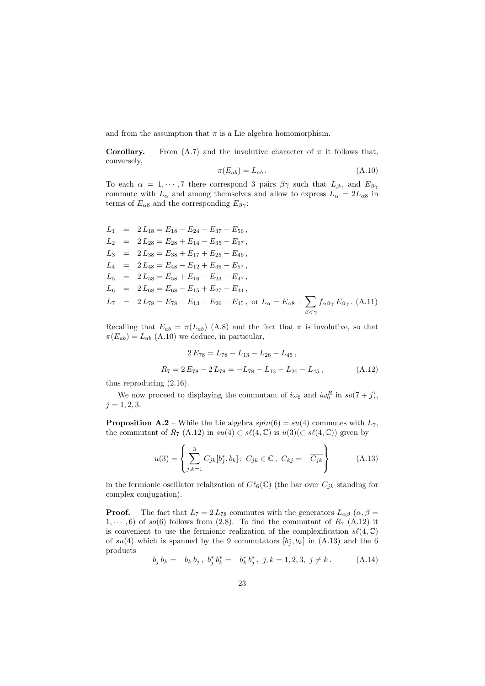and from the assumption that  $\pi$  is a Lie algebra homomorphism.

**Corollary.** – From (A.7) and the involutive character of  $\pi$  it follows that, conversely,

$$
\pi(E_{ab}) = L_{ab} \,. \tag{A.10}
$$

To each  $\alpha = 1, \dots, 7$  there correspond 3 pairs  $\beta \gamma$  such that  $L_{\beta \gamma}$  and  $E_{\beta \gamma}$ commute with  $L_{\alpha}$  and among themselves and allow to express  $L_{\alpha} = 2L_{\alpha 8}$  in terms of  $E_{\alpha 8}$  and the corresponding  $E_{\beta \gamma}$ :

$$
L_1 = 2 L_{18} = E_{18} - E_{24} - E_{37} - E_{56},
$$
  
\n
$$
L_2 = 2 L_{28} = E_{28} + E_{14} - E_{35} - E_{67},
$$
  
\n
$$
L_3 = 2 L_{38} = E_{38} + E_{17} + E_{25} - E_{46},
$$
  
\n
$$
L_4 = 2 L_{48} = E_{48} - E_{12} + E_{36} - E_{57},
$$
  
\n
$$
L_5 = 2 L_{58} = E_{58} + E_{16} - E_{23} - E_{47},
$$
  
\n
$$
L_6 = 2 L_{68} = E_{68} - E_{15} + E_{27} - E_{34},
$$
  
\n
$$
L_7 = 2 L_{78} = E_{78} - E_{13} - E_{26} - E_{45}, \text{ or } L_\alpha = E_{\alpha 8} - \sum_{\beta < \gamma} f_{\alpha \beta \gamma} E_{\beta \gamma}.
$$
(A.11)

Recalling that  $E_{ab} = \pi (L_{ab})$  (A.8) and the fact that  $\pi$  is involutive, so that  $\pi(E_{ab}) = L_{ab}$  (A.10) we deduce, in particular,

$$
2 E_{78} = L_{78} - L_{13} - L_{26} - L_{45},
$$
  
\n
$$
R_7 = 2 E_{78} - 2 L_{78} = -L_{78} - L_{13} - L_{26} - L_{45},
$$
 (A.12)

thus reproducing (2.16).

We now proceed to displaying the commutant of  $i\omega_6$  and  $i\omega_6^R$  in  $so(7+j)$ ,  $j = 1, 2, 3.$ 

**Proposition A.2** – While the Lie algebra  $spin(6) = su(4)$  commutes with  $L_7$ , the commutant of  $R_7$  (A.12) in  $su(4) \subset s\ell(4,\mathbb{C})$  is  $u(3)(\subset s\ell(4,\mathbb{C}))$  given by

$$
u(3) = \left\{ \sum_{j,k=1}^{3} C_{jk}[b_j^*, b_k]; \ C_{jk} \in \mathbb{C}, \ C_{kj} = -\overline{C_{jk}} \right\}
$$
 (A.13)

in the fermionic oscillator relalization of  $C\ell_6(\mathbb{C})$  (the bar over  $C_{jk}$  standing for complex conjugation).

**Proof.** – The fact that  $L_7 = 2L_{78}$  commutes with the generators  $L_{\alpha\beta}$  ( $\alpha, \beta$ )  $1, \dots, 6$  of so(6) follows from (2.8). To find the commutant of  $R_7$  (A.12) it is convenient to use the fermionic realization of the complexification  $s\ell(4, \mathbb{C})$ of  $su(4)$  which is spanned by the 9 commutators  $[b_j^*, b_k]$  in  $(A.13)$  and the 6 products

$$
b_j b_k = -b_k b_j, b_j^* b_k^* = -b_k^* b_j^*, j, k = 1, 2, 3, j \neq k.
$$
 (A.14)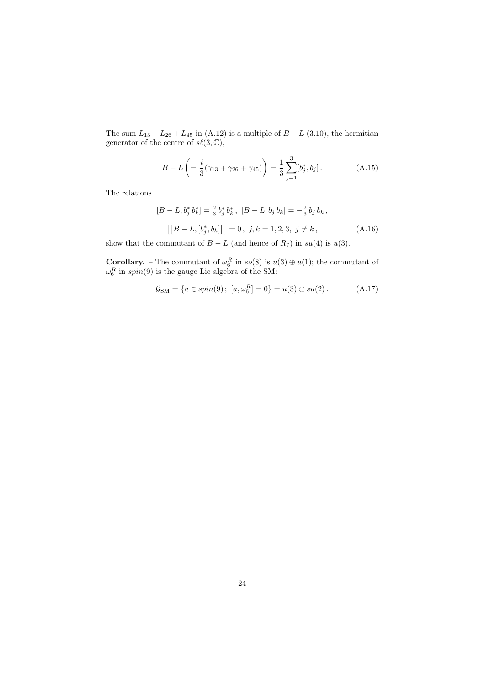The sum  $L_{13} + L_{26} + L_{45}$  in (A.12) is a multiple of  $B - L$  (3.10), the hermitian generator of the centre of  $s\ell(3,\mathbb{C}),$ 

$$
B - L\left( = \frac{i}{3}(\gamma_{13} + \gamma_{26} + \gamma_{45})\right) = \frac{1}{3}\sum_{j=1}^{3} [b_j^*, b_j].
$$
 (A.15)

The relations

$$
[B - L, b_j^* b_k^*] = \frac{2}{3} b_j^* b_k^*, \ [B - L, b_j b_k] = -\frac{2}{3} b_j b_k,
$$
  

$$
[[B - L, [b_j^*, b_k]]] = 0, \ j, k = 1, 2, 3, \ j \neq k,
$$
 (A.16)

show that the commutant of  $B - L$  (and hence of  $R_7$ ) in  $su(4)$  is  $u(3)$ .

**Corollary.** – The commutant of  $\omega_6^R$  in  $so(8)$  is  $u(3) \oplus u(1)$ ; the commutant of  $\omega_6^R$  in spin(9) is the gauge Lie algebra of the SM:

$$
\mathcal{G}_{\rm SM} = \{a \in spin(9) \, ; \, [a, \omega_6^R] = 0\} = u(3) \oplus su(2) \,. \tag{A.17}
$$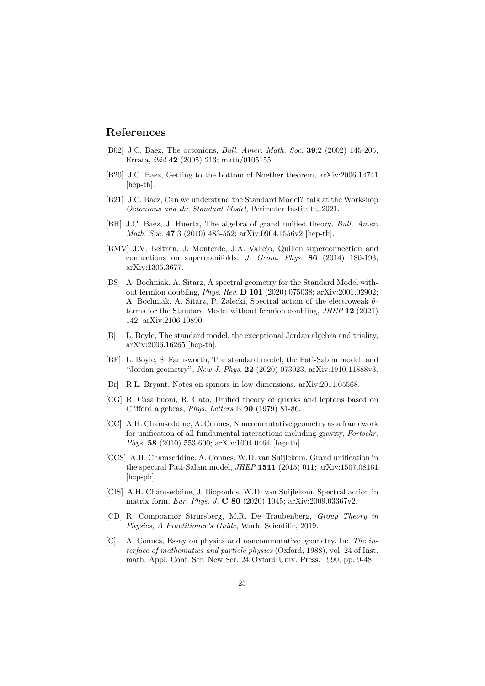## References

- [B02] J.C. Baez, The octonions, Bull. Amer. Math. Soc. 39:2 (2002) 145-205, Errata, ibid 42 (2005) 213; math/0105155.
- [B20] J.C. Baez, Getting to the bottom of Noether theorem, arXiv:2006.14741 [hep-th].
- [B21] J.C. Baez, Can we understand the Standard Model? talk at the Workshop Octonions and the Standard Model, Perimeter Institute, 2021.
- [BH] J.C. Baez, J. Huerta, The algebra of grand unified theory, Bull. Amer. Math. Soc. 47:3 (2010) 483-552; arXiv:0904.1556v2 [hep-th].
- [BMV] J.V. Beltrán, J. Monterde, J.A. Vallejo, Quillen superconnection and connections on supermanifolds, J. Geom. Phys. 86 (2014) 180-193; arXiv:1305.3677.
- [BS] A. Bochniak, A. Sitarz, A spectral geometry for the Standard Model without fermion doubling, Phys. Rev. D 101 (2020) 075038; arXiv:2001.02902; A. Bochniak, A. Sitarz, P. Zalecki, Spectral action of the electroweak θterms for the Standard Model without fermion doubling, JHEP 12 (2021) 142; arXiv:2106.10890.
- [B] L. Boyle, The standard model, the exceptional Jordan algebra and triality, arXiv:2006.16265 [hep-th].
- [BF] L. Boyle, S. Farnsworth, The standard model, the Pati-Salam model, and "Jordan geometry", New J. Phys. 22 (2020) 073023; arXiv:1910.11888v3.
- [Br] R.L. Bryant, Notes on spinors in low dimensions, arXiv:2011.05568.
- [CG] R. Casalbuoni, R. Gato, Unified theory of quarks and leptons based on Clifford algebras, Phys. Letters B 90 (1979) 81-86.
- [CC] A.H. Chamseddine, A. Connes, Noncommutative geometry as a framework for unification of all fundamental interactions including gravity, Fortschr. Phys. 58 (2010) 553-600; arXiv:1004.0464 [hep-th].
- [CCS] A.H. Chamseddine, A. Connes, W.D. van Suijlekom, Grand unification in the spectral Pati-Salam model, JHEP 1511 (2015) 011; arXiv:1507.08161 [hep-ph].
- [CIS] A.H. Chamseddine, J. Iliopoulos, W.D. van Suijlekom, Spectral action in matrix form, Eur. Phys. J. C 80 (2020) 1045; arXiv:2009.03367v2.
- [CD] R. Compoamor Strursberg, M.R. De Traubenberg, Group Theory in Physics, A Practitioner's Guide, World Scientific, 2019.
- [C] A. Connes, Essay on physics and noncommutative geometry. In: The interface of mathematics and particle physics (Oxford, 1988), vol. 24 of Inst. math. Appl. Conf. Ser. New Ser. 24 Oxford Univ. Press, 1990, pp. 9-48.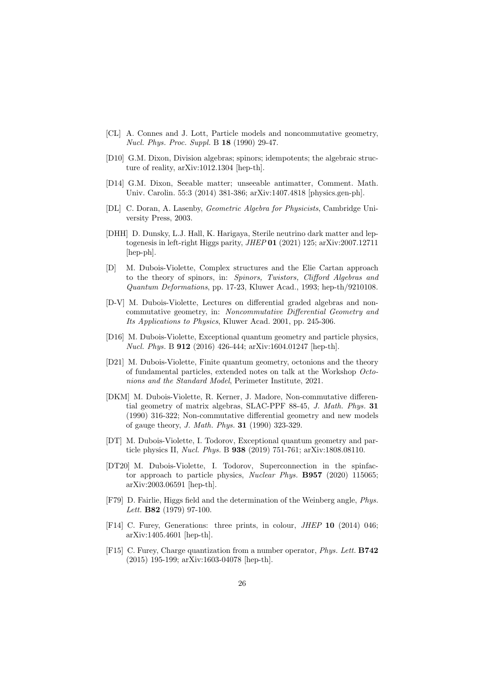- [CL] A. Connes and J. Lott, Particle models and noncommutative geometry, Nucl. Phys. Proc. Suppl. B 18 (1990) 29-47.
- [D10] G.M. Dixon, Division algebras; spinors; idempotents; the algebraic structure of reality, arXiv:1012.1304 [hep-th].
- [D14] G.M. Dixon, Seeable matter; unseeable antimatter, Comment. Math. Univ. Carolin. 55:3 (2014) 381-386; arXiv:1407.4818 [physics.gen-ph].
- [DL] C. Doran, A. Lasenby, Geometric Algebra for Physicists, Cambridge University Press, 2003.
- [DHH] D. Dunsky, L.J. Hall, K. Harigaya, Sterile neutrino dark matter and leptogenesis in left-right Higgs parity, JHEP 01 (2021) 125; arXiv:2007.12711 [hep-ph].
- [D] M. Dubois-Violette, Complex structures and the Elie Cartan approach to the theory of spinors, in: Spinors, Twistors, Clifford Algebras and Quantum Deformations, pp. 17-23, Kluwer Acad., 1993; hep-th/9210108.
- [D-V] M. Dubois-Violette, Lectures on differential graded algebras and noncommutative geometry, in: Noncommutative Differential Geometry and Its Applications to Physics, Kluwer Acad. 2001, pp. 245-306.
- [D16] M. Dubois-Violette, Exceptional quantum geometry and particle physics, Nucl. Phys. B 912 (2016) 426-444; arXiv:1604.01247 [hep-th].
- [D21] M. Dubois-Violette, Finite quantum geometry, octonions and the theory of fundamental particles, extended notes on talk at the Workshop Octonions and the Standard Model, Perimeter Institute, 2021.
- [DKM] M. Dubois-Violette, R. Kerner, J. Madore, Non-commutative differential geometry of matrix algebras, SLAC-PPF 88-45, J. Math. Phys. 31 (1990) 316-322; Non-commutative differential geometry and new models of gauge theory, J. Math. Phys. 31 (1990) 323-329.
- [DT] M. Dubois-Violette, I. Todorov, Exceptional quantum geometry and particle physics II, Nucl. Phys. B 938 (2019) 751-761; arXiv:1808.08110.
- [DT20] M. Dubois-Violette, I. Todorov, Superconnection in the spinfactor approach to particle physics, Nuclear Phys. B957 (2020) 115065; arXiv:2003.06591 [hep-th].
- [F79] D. Fairlie, Higgs field and the determination of the Weinberg angle, Phys. Lett. **B82** (1979) 97-100.
- [F14] C. Furey, Generations: three prints, in colour, JHEP 10 (2014) 046; arXiv:1405.4601 [hep-th].
- [F15] C. Furey, Charge quantization from a number operator, Phys. Lett. B742 (2015) 195-199; arXiv:1603-04078 [hep-th].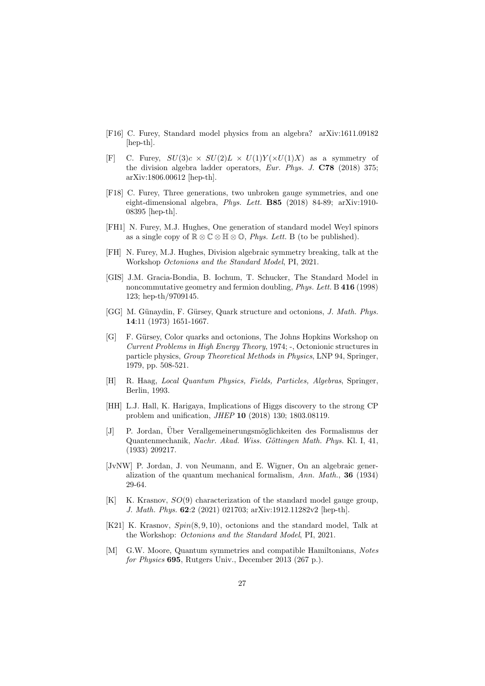- [F16] C. Furey, Standard model physics from an algebra? arXiv:1611.09182 [hep-th].
- [F] C. Furey,  $SU(3)c \times SU(2)L \times U(1)Y(\times U(1)X)$  as a symmetry of the division algebra ladder operators, Eur. Phys. J. C78 (2018) 375; arXiv:1806.00612 [hep-th].
- [F18] C. Furey, Three generations, two unbroken gauge symmetries, and one eight-dimensional algebra, Phys. Lett. B85 (2018) 84-89; arXiv:1910- 08395 [hep-th].
- [FH1] N. Furey, M.J. Hughes, One generation of standard model Weyl spinors as a single copy of  $\mathbb{R} \otimes \mathbb{C} \otimes \mathbb{H} \otimes \mathbb{O}$ , *Phys. Lett.* B (to be published).
- [FH] N. Furey, M.J. Hughes, Division algebraic symmetry breaking, talk at the Workshop Octonions and the Standard Model, PI, 2021.
- [GIS] J.M. Gracia-Bondia, B. Iochum, T. Schucker, The Standard Model in noncommutative geometry and fermion doubling, *Phys. Lett.* B 416 (1998) 123; hep-th/9709145.
- [GG] M. Günaydin, F. Gürsey, Quark structure and octonions, J. Math. Phys. 14:11 (1973) 1651-1667.
- [G] F. Gürsey, Color quarks and octonions, The Johns Hopkins Workshop on Current Problems in High Energy Theory, 1974; -, Octonionic structures in particle physics, Group Theoretical Methods in Physics, LNP 94, Springer, 1979, pp. 508-521.
- [H] R. Haag, Local Quantum Physics, Fields, Particles, Algebras, Springer, Berlin, 1993.
- [HH] L.J. Hall, K. Harigaya, Implications of Higgs discovery to the strong CP problem and unification, JHEP 10 (2018) 130; 1803.08119.
- [J] P. Jordan, Über Verallgemeinerungsmöglichkeiten des Formalismus der Quantenmechanik, Nachr. Akad. Wiss. Göttingen Math. Phys. Kl. I, 41, (1933) 209217.
- [JvNW] P. Jordan, J. von Neumann, and E. Wigner, On an algebraic generalization of the quantum mechanical formalism, Ann. Math., 36 (1934) 29-64.
- $[K]$  K. Krasnov,  $SO(9)$  characterization of the standard model gauge group, J. Math. Phys. 62:2 (2021) 021703; arXiv:1912.11282v2 [hep-th].
- [K21] K. Krasnov, Spin(8, 9, 10), octonions and the standard model, Talk at the Workshop: Octonions and the Standard Model, PI, 2021.
- [M] G.W. Moore, Quantum symmetries and compatible Hamiltonians, Notes for Physics 695, Rutgers Univ., December 2013 (267 p.).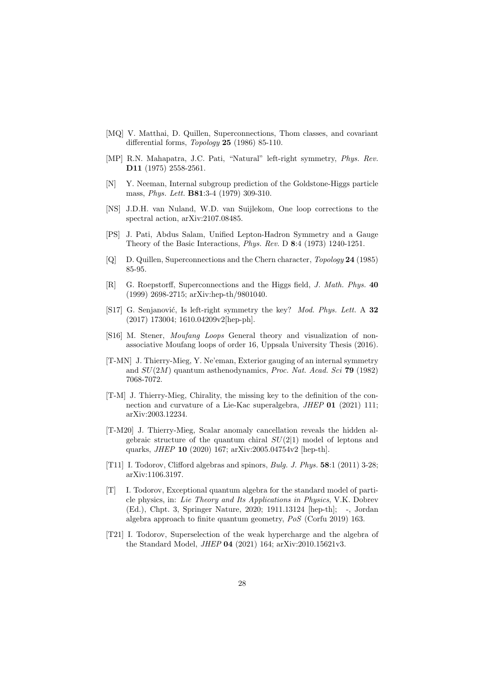- [MQ] V. Matthai, D. Quillen, Superconnections, Thom classes, and covariant differential forms, *Topology* 25 (1986) 85-110.
- [MP] R.N. Mahapatra, J.C. Pati, "Natural" left-right symmetry, Phys. Rev. D11 (1975) 2558-2561.
- [N] Y. Neeman, Internal subgroup prediction of the Goldstone-Higgs particle mass, *Phys. Lett.* **B81**:3-4 (1979) 309-310.
- [NS] J.D.H. van Nuland, W.D. van Suijlekom, One loop corrections to the spectral action, arXiv:2107.08485.
- [PS] J. Pati, Abdus Salam, Unified Lepton-Hadron Symmetry and a Gauge Theory of the Basic Interactions, Phys. Rev. D 8:4 (1973) 1240-1251.
- [Q] D. Quillen, Superconnections and the Chern character, Topology 24 (1985) 85-95.
- [R] G. Roepstorff, Superconnections and the Higgs field, J. Math. Phys. 40 (1999) 2698-2715; arXiv:hep-th/9801040.
- [S17] G. Senjanović, Is left-right symmetry the key? *Mod. Phys. Lett.* A 32 (2017) 173004; 1610.04209v2[hep-ph].
- [S16] M. Stener, Moufang Loops General theory and visualization of nonassociative Moufang loops of order 16, Uppsala University Thesis (2016).
- [T-MN] J. Thierry-Mieg, Y. Ne'eman, Exterior gauging of an internal symmetry and  $SU(2M)$  quantum asthenodynamics, *Proc. Nat. Acad. Sci* 79 (1982) 7068-7072.
- [T-M] J. Thierry-Mieg, Chirality, the missing key to the definition of the connection and curvature of a Lie-Kac superalgebra, *JHEP* 01 (2021) 111; arXiv:2003.12234.
- [T-M20] J. Thierry-Mieg, Scalar anomaly cancellation reveals the hidden algebraic structure of the quantum chiral  $SU(2|1)$  model of leptons and quarks, JHEP 10 (2020) 167; arXiv:2005.04754v2 [hep-th].
- [T11] I. Todorov, Clifford algebras and spinors, Bulg. J. Phys. 58:1 (2011) 3-28; arXiv:1106.3197.
- [T] I. Todorov, Exceptional quantum algebra for the standard model of particle physics, in: Lie Theory and Its Applications in Physics, V.K. Dobrev (Ed.), Chpt. 3, Springer Nature, 2020; 1911.13124 [hep-th]; -, Jordan algebra approach to finite quantum geometry, PoS (Corfu 2019) 163.
- [T21] I. Todorov, Superselection of the weak hypercharge and the algebra of the Standard Model, JHEP 04 (2021) 164; arXiv:2010.15621v3.